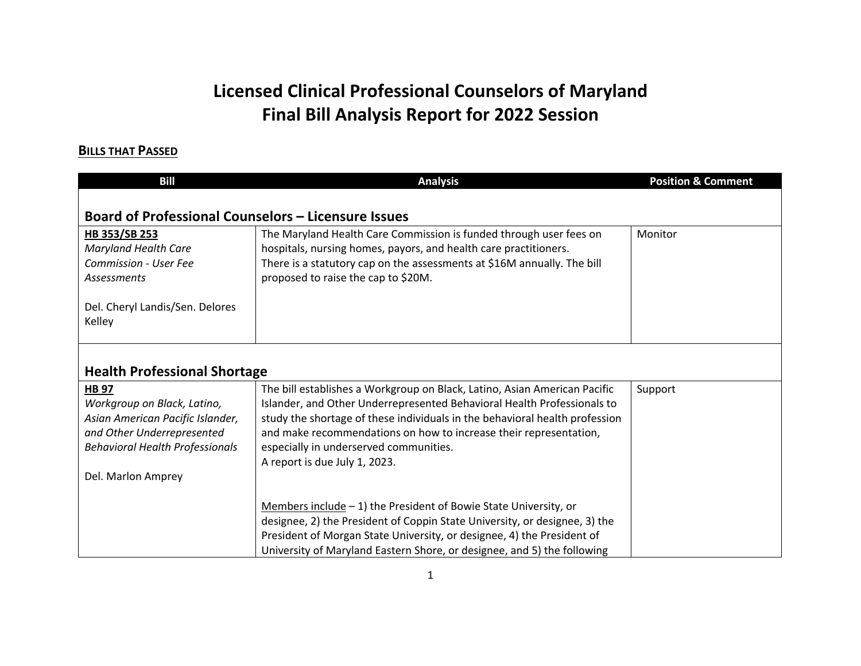## **Licensed Clinical Professional Counselors of Maryland Final Bill Analysis Report for 2022 Session**

## **BILLS THAT PASSED**

| <b>Bill</b>                                                | <b>Analysis</b>                                                                                                                                      | <b>Position &amp; Comment</b> |
|------------------------------------------------------------|------------------------------------------------------------------------------------------------------------------------------------------------------|-------------------------------|
|                                                            |                                                                                                                                                      |                               |
| <b>Board of Professional Counselors - Licensure Issues</b> |                                                                                                                                                      |                               |
| HB 353/SB 253                                              | The Maryland Health Care Commission is funded through user fees on                                                                                   | Monitor                       |
| <b>Maryland Health Care</b>                                | hospitals, nursing homes, payors, and health care practitioners.                                                                                     |                               |
| Commission - User Fee                                      | There is a statutory cap on the assessments at \$16M annually. The bill                                                                              |                               |
| <b>Assessments</b>                                         | proposed to raise the cap to \$20M.                                                                                                                  |                               |
| Del. Cheryl Landis/Sen. Delores                            |                                                                                                                                                      |                               |
| Kelley                                                     |                                                                                                                                                      |                               |
|                                                            |                                                                                                                                                      |                               |
|                                                            |                                                                                                                                                      |                               |
| <b>Health Professional Shortage</b>                        |                                                                                                                                                      |                               |
| <b>HB 97</b>                                               | The bill establishes a Workgroup on Black, Latino, Asian American Pacific                                                                            | Support                       |
| Workgroup on Black, Latino,                                | Islander, and Other Underrepresented Behavioral Health Professionals to                                                                              |                               |
| Asian American Pacific Islander,                           | study the shortage of these individuals in the behavioral health profession                                                                          |                               |
| and Other Underrepresented                                 | and make recommendations on how to increase their representation,                                                                                    |                               |
| <b>Behavioral Health Professionals</b>                     | especially in underserved communities.                                                                                                               |                               |
|                                                            | A report is due July 1, 2023.                                                                                                                        |                               |
| Del. Marlon Amprey                                         |                                                                                                                                                      |                               |
|                                                            |                                                                                                                                                      |                               |
|                                                            | Members include $-1$ ) the President of Bowie State University, or                                                                                   |                               |
|                                                            | designee, 2) the President of Coppin State University, or designee, 3) the<br>President of Morgan State University, or designee, 4) the President of |                               |
|                                                            | University of Maryland Eastern Shore, or designee, and 5) the following                                                                              |                               |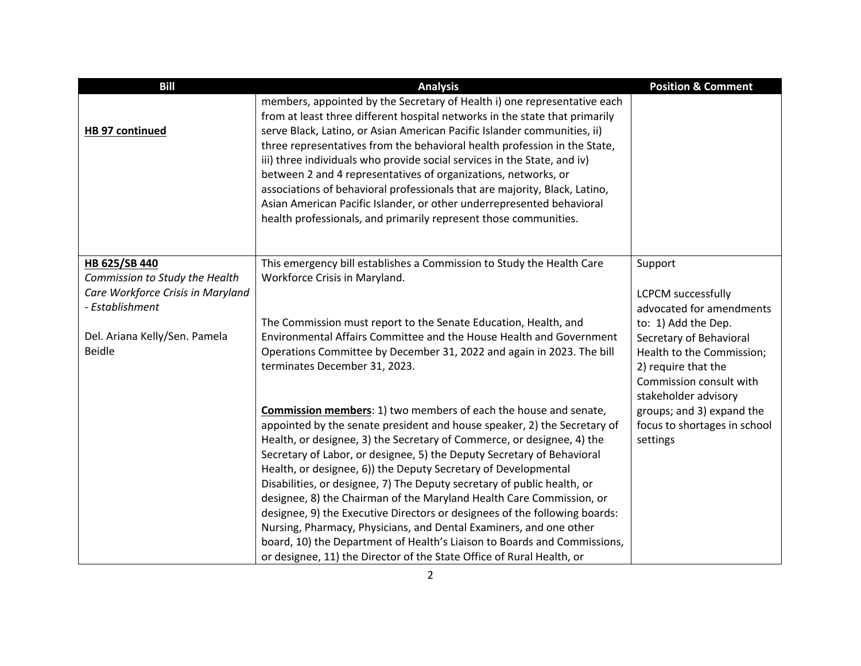| <b>Bill</b>                                          | <b>Analysis</b>                                                                                                                                                                                                                                                                                                                                                                                                                                                                                                                                                                                                                                                                           | <b>Position &amp; Comment</b>                                          |
|------------------------------------------------------|-------------------------------------------------------------------------------------------------------------------------------------------------------------------------------------------------------------------------------------------------------------------------------------------------------------------------------------------------------------------------------------------------------------------------------------------------------------------------------------------------------------------------------------------------------------------------------------------------------------------------------------------------------------------------------------------|------------------------------------------------------------------------|
| HB 97 continued                                      | members, appointed by the Secretary of Health i) one representative each<br>from at least three different hospital networks in the state that primarily<br>serve Black, Latino, or Asian American Pacific Islander communities, ii)<br>three representatives from the behavioral health profession in the State,<br>iii) three individuals who provide social services in the State, and iv)<br>between 2 and 4 representatives of organizations, networks, or<br>associations of behavioral professionals that are majority, Black, Latino,<br>Asian American Pacific Islander, or other underrepresented behavioral<br>health professionals, and primarily represent those communities. |                                                                        |
| HB 625/SB 440                                        | This emergency bill establishes a Commission to Study the Health Care                                                                                                                                                                                                                                                                                                                                                                                                                                                                                                                                                                                                                     | Support                                                                |
| Commission to Study the Health                       | Workforce Crisis in Maryland.                                                                                                                                                                                                                                                                                                                                                                                                                                                                                                                                                                                                                                                             |                                                                        |
| Care Workforce Crisis in Maryland<br>- Establishment |                                                                                                                                                                                                                                                                                                                                                                                                                                                                                                                                                                                                                                                                                           | <b>LCPCM</b> successfully<br>advocated for amendments                  |
|                                                      | The Commission must report to the Senate Education, Health, and                                                                                                                                                                                                                                                                                                                                                                                                                                                                                                                                                                                                                           | to: 1) Add the Dep.                                                    |
| Del. Ariana Kelly/Sen. Pamela                        | Environmental Affairs Committee and the House Health and Government                                                                                                                                                                                                                                                                                                                                                                                                                                                                                                                                                                                                                       | Secretary of Behavioral                                                |
| <b>Beidle</b>                                        | Operations Committee by December 31, 2022 and again in 2023. The bill                                                                                                                                                                                                                                                                                                                                                                                                                                                                                                                                                                                                                     | Health to the Commission;                                              |
|                                                      | terminates December 31, 2023.                                                                                                                                                                                                                                                                                                                                                                                                                                                                                                                                                                                                                                                             | 2) require that the<br>Commission consult with<br>stakeholder advisory |
|                                                      | <b>Commission members: 1) two members of each the house and senate,</b>                                                                                                                                                                                                                                                                                                                                                                                                                                                                                                                                                                                                                   | groups; and 3) expand the                                              |
|                                                      | appointed by the senate president and house speaker, 2) the Secretary of                                                                                                                                                                                                                                                                                                                                                                                                                                                                                                                                                                                                                  | focus to shortages in school                                           |
|                                                      | Health, or designee, 3) the Secretary of Commerce, or designee, 4) the<br>Secretary of Labor, or designee, 5) the Deputy Secretary of Behavioral                                                                                                                                                                                                                                                                                                                                                                                                                                                                                                                                          | settings                                                               |
|                                                      | Health, or designee, 6)) the Deputy Secretary of Developmental                                                                                                                                                                                                                                                                                                                                                                                                                                                                                                                                                                                                                            |                                                                        |
|                                                      | Disabilities, or designee, 7) The Deputy secretary of public health, or                                                                                                                                                                                                                                                                                                                                                                                                                                                                                                                                                                                                                   |                                                                        |
|                                                      | designee, 8) the Chairman of the Maryland Health Care Commission, or                                                                                                                                                                                                                                                                                                                                                                                                                                                                                                                                                                                                                      |                                                                        |
|                                                      | designee, 9) the Executive Directors or designees of the following boards:<br>Nursing, Pharmacy, Physicians, and Dental Examiners, and one other                                                                                                                                                                                                                                                                                                                                                                                                                                                                                                                                          |                                                                        |
|                                                      | board, 10) the Department of Health's Liaison to Boards and Commissions,                                                                                                                                                                                                                                                                                                                                                                                                                                                                                                                                                                                                                  |                                                                        |
|                                                      | or designee, 11) the Director of the State Office of Rural Health, or                                                                                                                                                                                                                                                                                                                                                                                                                                                                                                                                                                                                                     |                                                                        |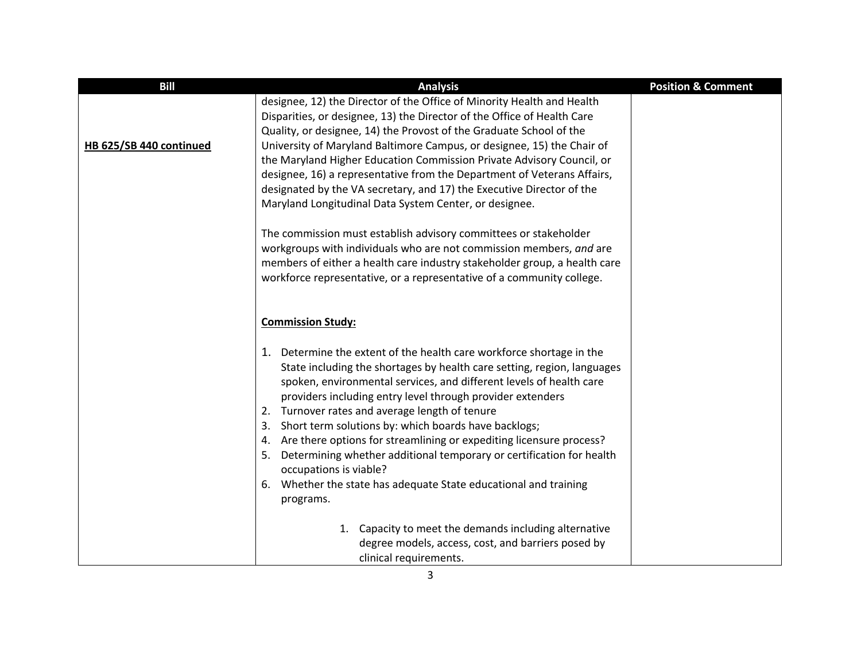| <b>Bill</b>             | <b>Analysis</b>                                                                                                                                                                                                                                                                                                                                                                                                                                                                                                                                                                                                                                                         | <b>Position &amp; Comment</b> |
|-------------------------|-------------------------------------------------------------------------------------------------------------------------------------------------------------------------------------------------------------------------------------------------------------------------------------------------------------------------------------------------------------------------------------------------------------------------------------------------------------------------------------------------------------------------------------------------------------------------------------------------------------------------------------------------------------------------|-------------------------------|
| HB 625/SB 440 continued | designee, 12) the Director of the Office of Minority Health and Health<br>Disparities, or designee, 13) the Director of the Office of Health Care<br>Quality, or designee, 14) the Provost of the Graduate School of the<br>University of Maryland Baltimore Campus, or designee, 15) the Chair of<br>the Maryland Higher Education Commission Private Advisory Council, or<br>designee, 16) a representative from the Department of Veterans Affairs,<br>designated by the VA secretary, and 17) the Executive Director of the<br>Maryland Longitudinal Data System Center, or designee.                                                                               |                               |
|                         | The commission must establish advisory committees or stakeholder<br>workgroups with individuals who are not commission members, and are<br>members of either a health care industry stakeholder group, a health care<br>workforce representative, or a representative of a community college.                                                                                                                                                                                                                                                                                                                                                                           |                               |
|                         | <b>Commission Study:</b>                                                                                                                                                                                                                                                                                                                                                                                                                                                                                                                                                                                                                                                |                               |
|                         | 1. Determine the extent of the health care workforce shortage in the<br>State including the shortages by health care setting, region, languages<br>spoken, environmental services, and different levels of health care<br>providers including entry level through provider extenders<br>2. Turnover rates and average length of tenure<br>Short term solutions by: which boards have backlogs;<br>3.<br>4. Are there options for streamlining or expediting licensure process?<br>5. Determining whether additional temporary or certification for health<br>occupations is viable?<br>Whether the state has adequate State educational and training<br>6.<br>programs. |                               |
|                         | 1. Capacity to meet the demands including alternative<br>degree models, access, cost, and barriers posed by<br>clinical requirements.                                                                                                                                                                                                                                                                                                                                                                                                                                                                                                                                   |                               |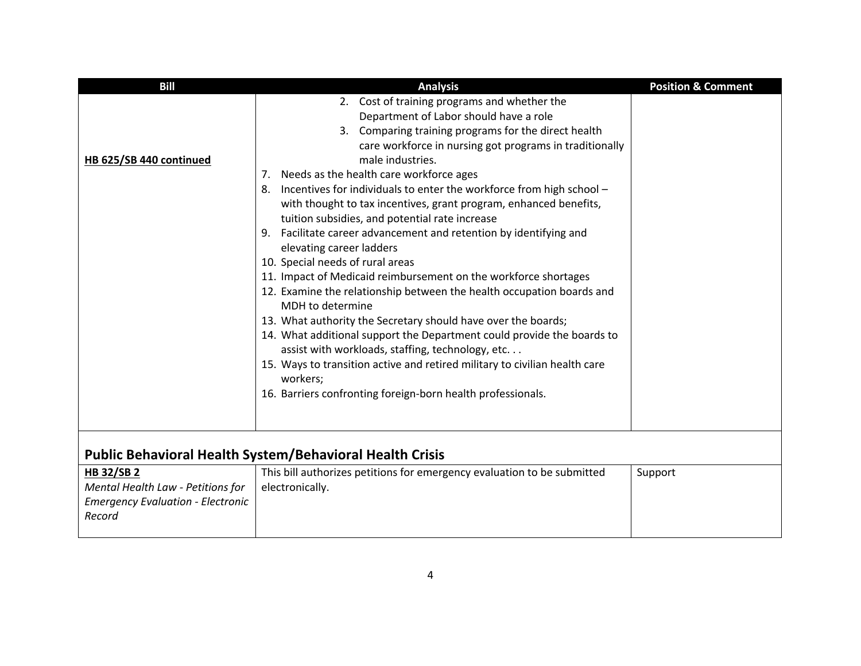| <b>Bill</b>                                                                                                  | <b>Analysis</b>                                                                                                                                                                                                                                                                                                                                                                                                                                                                                                                                                                                                                                                                                                                                                                                                                                                                                                                                                                                                                                                                                                                             | <b>Position &amp; Comment</b> |
|--------------------------------------------------------------------------------------------------------------|---------------------------------------------------------------------------------------------------------------------------------------------------------------------------------------------------------------------------------------------------------------------------------------------------------------------------------------------------------------------------------------------------------------------------------------------------------------------------------------------------------------------------------------------------------------------------------------------------------------------------------------------------------------------------------------------------------------------------------------------------------------------------------------------------------------------------------------------------------------------------------------------------------------------------------------------------------------------------------------------------------------------------------------------------------------------------------------------------------------------------------------------|-------------------------------|
| HB 625/SB 440 continued                                                                                      | 2. Cost of training programs and whether the<br>Department of Labor should have a role<br>3. Comparing training programs for the direct health<br>care workforce in nursing got programs in traditionally<br>male industries.<br>7. Needs as the health care workforce ages<br>8. Incentives for individuals to enter the workforce from high school -<br>with thought to tax incentives, grant program, enhanced benefits,<br>tuition subsidies, and potential rate increase<br>9. Facilitate career advancement and retention by identifying and<br>elevating career ladders<br>10. Special needs of rural areas<br>11. Impact of Medicaid reimbursement on the workforce shortages<br>12. Examine the relationship between the health occupation boards and<br>MDH to determine<br>13. What authority the Secretary should have over the boards;<br>14. What additional support the Department could provide the boards to<br>assist with workloads, staffing, technology, etc.<br>15. Ways to transition active and retired military to civilian health care<br>workers;<br>16. Barriers confronting foreign-born health professionals. |                               |
|                                                                                                              | <b>Public Behavioral Health System/Behavioral Health Crisis</b>                                                                                                                                                                                                                                                                                                                                                                                                                                                                                                                                                                                                                                                                                                                                                                                                                                                                                                                                                                                                                                                                             |                               |
| <b>HB 32/SB 2</b><br>Mental Health Law - Petitions for<br><b>Emergency Evaluation - Electronic</b><br>Record | This bill authorizes petitions for emergency evaluation to be submitted<br>electronically.                                                                                                                                                                                                                                                                                                                                                                                                                                                                                                                                                                                                                                                                                                                                                                                                                                                                                                                                                                                                                                                  | Support                       |
|                                                                                                              |                                                                                                                                                                                                                                                                                                                                                                                                                                                                                                                                                                                                                                                                                                                                                                                                                                                                                                                                                                                                                                                                                                                                             |                               |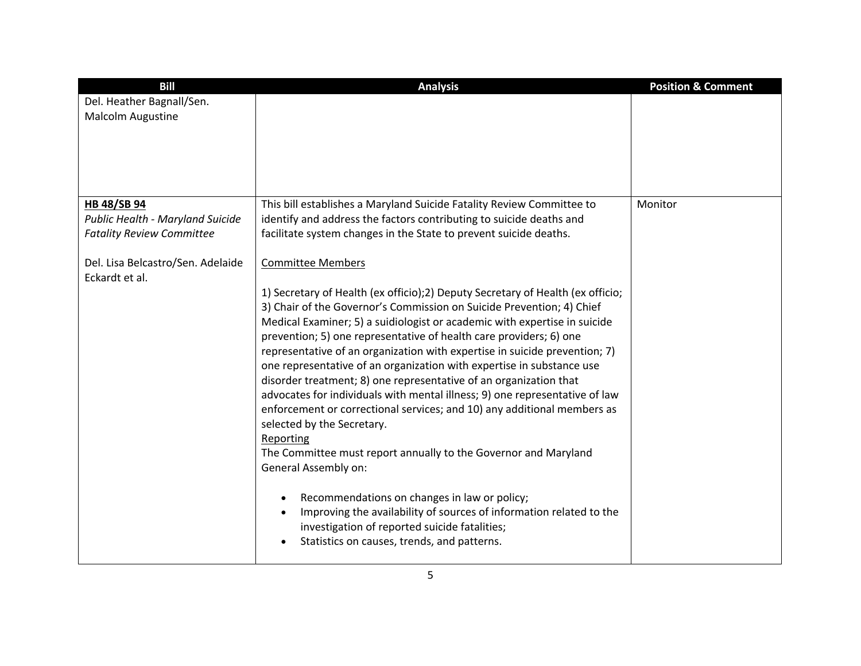| <b>Bill</b>                                     | <b>Analysis</b>                                                                                                                              | <b>Position &amp; Comment</b> |
|-------------------------------------------------|----------------------------------------------------------------------------------------------------------------------------------------------|-------------------------------|
| Del. Heather Bagnall/Sen.                       |                                                                                                                                              |                               |
| Malcolm Augustine                               |                                                                                                                                              |                               |
|                                                 |                                                                                                                                              |                               |
|                                                 |                                                                                                                                              |                               |
|                                                 |                                                                                                                                              |                               |
|                                                 |                                                                                                                                              |                               |
|                                                 |                                                                                                                                              |                               |
| HB 48/SB 94<br>Public Health - Maryland Suicide | This bill establishes a Maryland Suicide Fatality Review Committee to<br>identify and address the factors contributing to suicide deaths and | Monitor                       |
| <b>Fatality Review Committee</b>                | facilitate system changes in the State to prevent suicide deaths.                                                                            |                               |
|                                                 |                                                                                                                                              |                               |
| Del. Lisa Belcastro/Sen. Adelaide               | <b>Committee Members</b>                                                                                                                     |                               |
| Eckardt et al.                                  |                                                                                                                                              |                               |
|                                                 | 1) Secretary of Health (ex officio); 2) Deputy Secretary of Health (ex officio;                                                              |                               |
|                                                 | 3) Chair of the Governor's Commission on Suicide Prevention; 4) Chief                                                                        |                               |
|                                                 | Medical Examiner; 5) a suidiologist or academic with expertise in suicide                                                                    |                               |
|                                                 | prevention; 5) one representative of health care providers; 6) one                                                                           |                               |
|                                                 | representative of an organization with expertise in suicide prevention; 7)                                                                   |                               |
|                                                 | one representative of an organization with expertise in substance use                                                                        |                               |
|                                                 | disorder treatment; 8) one representative of an organization that                                                                            |                               |
|                                                 | advocates for individuals with mental illness; 9) one representative of law                                                                  |                               |
|                                                 | enforcement or correctional services; and 10) any additional members as                                                                      |                               |
|                                                 | selected by the Secretary.                                                                                                                   |                               |
|                                                 | Reporting                                                                                                                                    |                               |
|                                                 | The Committee must report annually to the Governor and Maryland<br>General Assembly on:                                                      |                               |
|                                                 |                                                                                                                                              |                               |
|                                                 | Recommendations on changes in law or policy;                                                                                                 |                               |
|                                                 | Improving the availability of sources of information related to the                                                                          |                               |
|                                                 | investigation of reported suicide fatalities;                                                                                                |                               |
|                                                 | Statistics on causes, trends, and patterns.                                                                                                  |                               |
|                                                 |                                                                                                                                              |                               |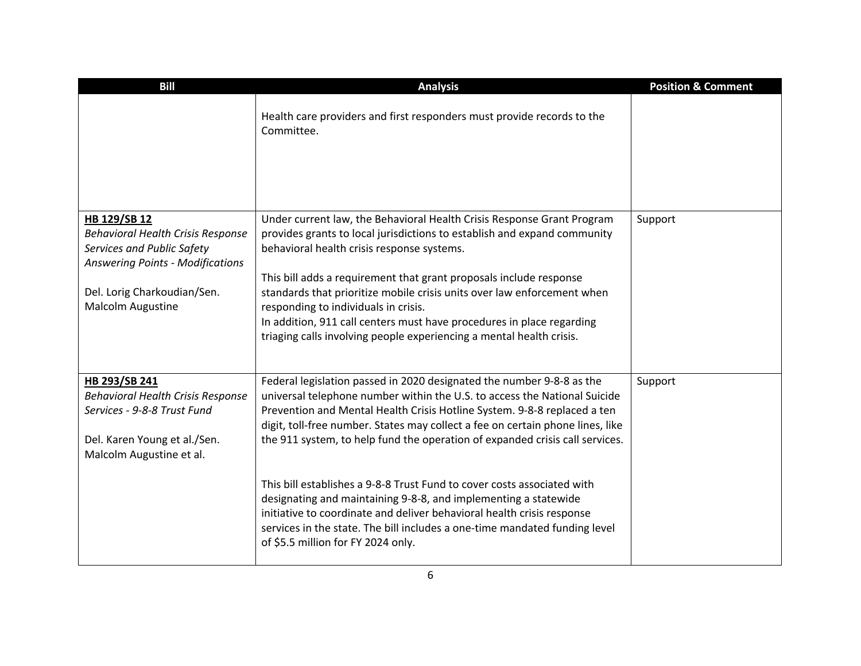| <b>Bill</b>                                                                                                                                                                                  | <b>Analysis</b>                                                                                                                                                                                                                                                                                                                                                                                                                                                                                                                                                                                                                                                                                        | <b>Position &amp; Comment</b> |
|----------------------------------------------------------------------------------------------------------------------------------------------------------------------------------------------|--------------------------------------------------------------------------------------------------------------------------------------------------------------------------------------------------------------------------------------------------------------------------------------------------------------------------------------------------------------------------------------------------------------------------------------------------------------------------------------------------------------------------------------------------------------------------------------------------------------------------------------------------------------------------------------------------------|-------------------------------|
|                                                                                                                                                                                              | Health care providers and first responders must provide records to the<br>Committee.                                                                                                                                                                                                                                                                                                                                                                                                                                                                                                                                                                                                                   |                               |
| HB 129/SB 12<br><b>Behavioral Health Crisis Response</b><br>Services and Public Safety<br><b>Answering Points - Modifications</b><br>Del. Lorig Charkoudian/Sen.<br><b>Malcolm Augustine</b> | Under current law, the Behavioral Health Crisis Response Grant Program<br>provides grants to local jurisdictions to establish and expand community<br>behavioral health crisis response systems.<br>This bill adds a requirement that grant proposals include response<br>standards that prioritize mobile crisis units over law enforcement when<br>responding to individuals in crisis.<br>In addition, 911 call centers must have procedures in place regarding<br>triaging calls involving people experiencing a mental health crisis.                                                                                                                                                             | Support                       |
| HB 293/SB 241<br><b>Behavioral Health Crisis Response</b><br>Services - 9-8-8 Trust Fund<br>Del. Karen Young et al./Sen.<br>Malcolm Augustine et al.                                         | Federal legislation passed in 2020 designated the number 9-8-8 as the<br>universal telephone number within the U.S. to access the National Suicide<br>Prevention and Mental Health Crisis Hotline System. 9-8-8 replaced a ten<br>digit, toll-free number. States may collect a fee on certain phone lines, like<br>the 911 system, to help fund the operation of expanded crisis call services.<br>This bill establishes a 9-8-8 Trust Fund to cover costs associated with<br>designating and maintaining 9-8-8, and implementing a statewide<br>initiative to coordinate and deliver behavioral health crisis response<br>services in the state. The bill includes a one-time mandated funding level | Support                       |
|                                                                                                                                                                                              | of \$5.5 million for FY 2024 only.                                                                                                                                                                                                                                                                                                                                                                                                                                                                                                                                                                                                                                                                     |                               |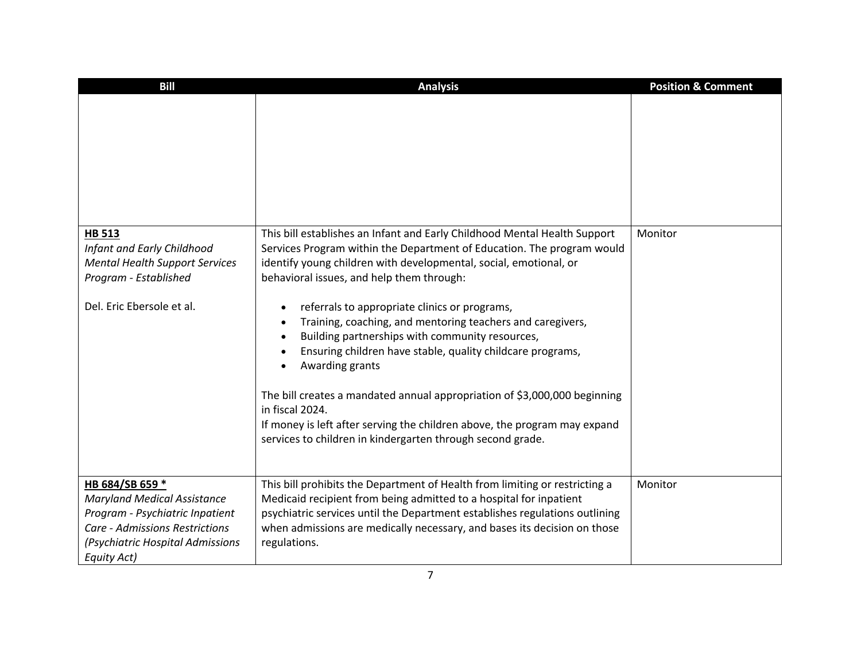| <b>Bill</b>                                                                                                                                                                          | <b>Analysis</b>                                                                                                                                                                                                                                                                                                                                                                                                                                                                                                                                                                                                                                                                                                                                                                  | <b>Position &amp; Comment</b> |
|--------------------------------------------------------------------------------------------------------------------------------------------------------------------------------------|----------------------------------------------------------------------------------------------------------------------------------------------------------------------------------------------------------------------------------------------------------------------------------------------------------------------------------------------------------------------------------------------------------------------------------------------------------------------------------------------------------------------------------------------------------------------------------------------------------------------------------------------------------------------------------------------------------------------------------------------------------------------------------|-------------------------------|
|                                                                                                                                                                                      |                                                                                                                                                                                                                                                                                                                                                                                                                                                                                                                                                                                                                                                                                                                                                                                  |                               |
| <b>HB 513</b><br>Infant and Early Childhood<br><b>Mental Health Support Services</b><br>Program - Established<br>Del. Eric Ebersole et al.                                           | This bill establishes an Infant and Early Childhood Mental Health Support<br>Services Program within the Department of Education. The program would<br>identify young children with developmental, social, emotional, or<br>behavioral issues, and help them through:<br>referrals to appropriate clinics or programs,<br>Training, coaching, and mentoring teachers and caregivers,<br>Building partnerships with community resources,<br>$\bullet$<br>Ensuring children have stable, quality childcare programs,<br>Awarding grants<br>The bill creates a mandated annual appropriation of \$3,000,000 beginning<br>in fiscal 2024.<br>If money is left after serving the children above, the program may expand<br>services to children in kindergarten through second grade. | Monitor                       |
| HB 684/SB 659 *<br><b>Maryland Medical Assistance</b><br>Program - Psychiatric Inpatient<br><b>Care - Admissions Restrictions</b><br>(Psychiatric Hospital Admissions<br>Equity Act) | This bill prohibits the Department of Health from limiting or restricting a<br>Medicaid recipient from being admitted to a hospital for inpatient<br>psychiatric services until the Department establishes regulations outlining<br>when admissions are medically necessary, and bases its decision on those<br>regulations.                                                                                                                                                                                                                                                                                                                                                                                                                                                     | Monitor                       |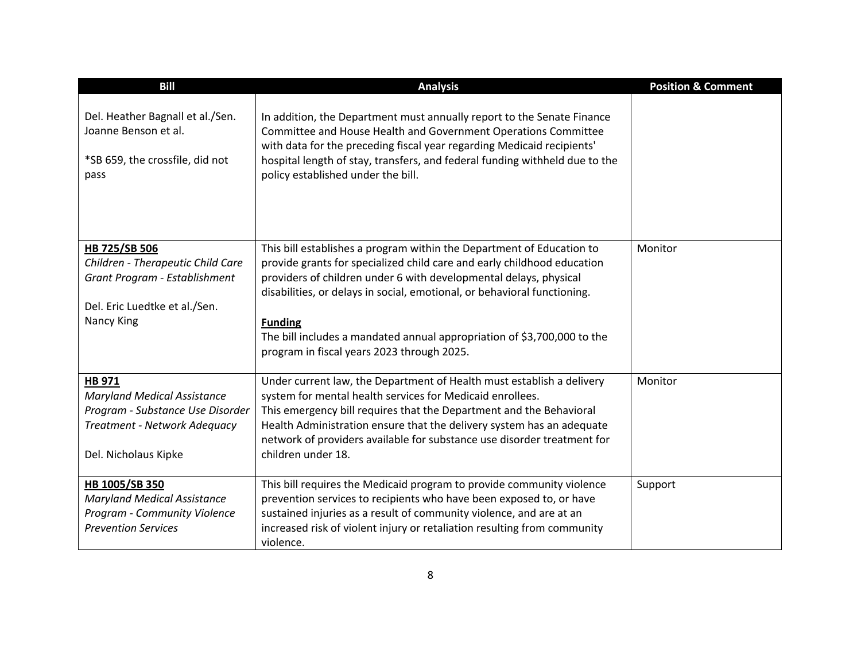| <b>Bill</b>                                                                                                                              | <b>Analysis</b>                                                                                                                                                                                                                                                                                                                                                                                                                              | <b>Position &amp; Comment</b> |
|------------------------------------------------------------------------------------------------------------------------------------------|----------------------------------------------------------------------------------------------------------------------------------------------------------------------------------------------------------------------------------------------------------------------------------------------------------------------------------------------------------------------------------------------------------------------------------------------|-------------------------------|
| Del. Heather Bagnall et al./Sen.<br>Joanne Benson et al.<br>*SB 659, the crossfile, did not<br>pass                                      | In addition, the Department must annually report to the Senate Finance<br>Committee and House Health and Government Operations Committee<br>with data for the preceding fiscal year regarding Medicaid recipients'<br>hospital length of stay, transfers, and federal funding withheld due to the<br>policy established under the bill.                                                                                                      |                               |
| HB 725/SB 506<br>Children - Therapeutic Child Care<br>Grant Program - Establishment<br>Del. Eric Luedtke et al./Sen.<br>Nancy King       | This bill establishes a program within the Department of Education to<br>provide grants for specialized child care and early childhood education<br>providers of children under 6 with developmental delays, physical<br>disabilities, or delays in social, emotional, or behavioral functioning.<br><b>Funding</b><br>The bill includes a mandated annual appropriation of \$3,700,000 to the<br>program in fiscal years 2023 through 2025. | Monitor                       |
| HB 971<br><b>Maryland Medical Assistance</b><br>Program - Substance Use Disorder<br>Treatment - Network Adequacy<br>Del. Nicholaus Kipke | Under current law, the Department of Health must establish a delivery<br>system for mental health services for Medicaid enrollees.<br>This emergency bill requires that the Department and the Behavioral<br>Health Administration ensure that the delivery system has an adequate<br>network of providers available for substance use disorder treatment for<br>children under 18.                                                          | Monitor                       |
| HB 1005/SB 350<br><b>Maryland Medical Assistance</b><br>Program - Community Violence<br><b>Prevention Services</b>                       | This bill requires the Medicaid program to provide community violence<br>prevention services to recipients who have been exposed to, or have<br>sustained injuries as a result of community violence, and are at an<br>increased risk of violent injury or retaliation resulting from community<br>violence.                                                                                                                                 | Support                       |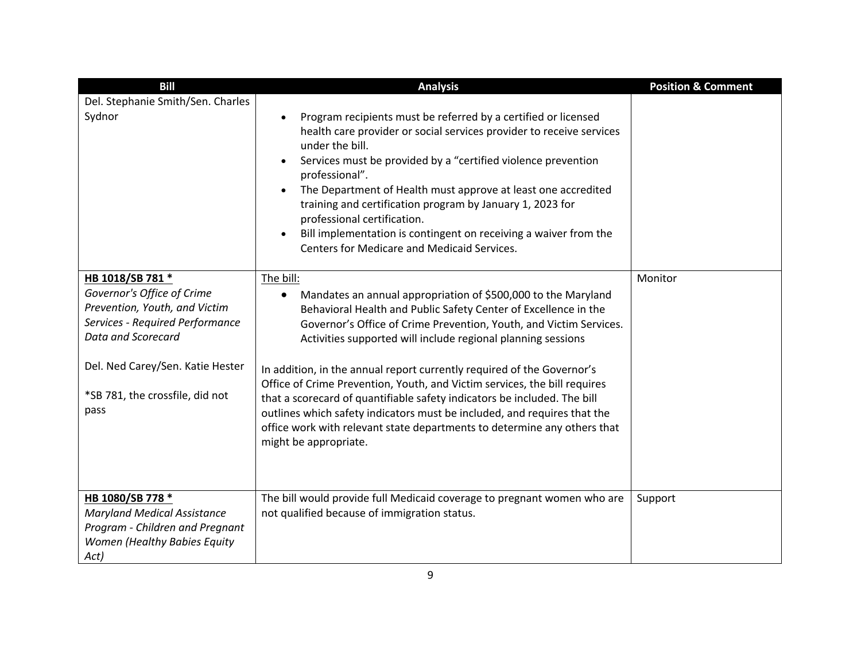| <b>Bill</b>                                                 | <b>Analysis</b>                                                                                                                                                                                                                                                                                                                                                                                                                                                                                                                                  | <b>Position &amp; Comment</b> |
|-------------------------------------------------------------|--------------------------------------------------------------------------------------------------------------------------------------------------------------------------------------------------------------------------------------------------------------------------------------------------------------------------------------------------------------------------------------------------------------------------------------------------------------------------------------------------------------------------------------------------|-------------------------------|
| Del. Stephanie Smith/Sen. Charles                           |                                                                                                                                                                                                                                                                                                                                                                                                                                                                                                                                                  |                               |
| Sydnor                                                      | Program recipients must be referred by a certified or licensed<br>health care provider or social services provider to receive services<br>under the bill.<br>Services must be provided by a "certified violence prevention<br>professional".<br>The Department of Health must approve at least one accredited<br>$\bullet$<br>training and certification program by January 1, 2023 for<br>professional certification.<br>Bill implementation is contingent on receiving a waiver from the<br><b>Centers for Medicare and Medicaid Services.</b> |                               |
| HB 1018/SB 781 *                                            | The bill:                                                                                                                                                                                                                                                                                                                                                                                                                                                                                                                                        | Monitor                       |
| Governor's Office of Crime<br>Prevention, Youth, and Victim | Mandates an annual appropriation of \$500,000 to the Maryland<br>$\bullet$                                                                                                                                                                                                                                                                                                                                                                                                                                                                       |                               |
| Services - Required Performance                             | Behavioral Health and Public Safety Center of Excellence in the<br>Governor's Office of Crime Prevention, Youth, and Victim Services.                                                                                                                                                                                                                                                                                                                                                                                                            |                               |
| Data and Scorecard                                          | Activities supported will include regional planning sessions                                                                                                                                                                                                                                                                                                                                                                                                                                                                                     |                               |
| Del. Ned Carey/Sen. Katie Hester                            | In addition, in the annual report currently required of the Governor's<br>Office of Crime Prevention, Youth, and Victim services, the bill requires                                                                                                                                                                                                                                                                                                                                                                                              |                               |
| *SB 781, the crossfile, did not                             | that a scorecard of quantifiable safety indicators be included. The bill                                                                                                                                                                                                                                                                                                                                                                                                                                                                         |                               |
| pass                                                        | outlines which safety indicators must be included, and requires that the                                                                                                                                                                                                                                                                                                                                                                                                                                                                         |                               |
|                                                             | office work with relevant state departments to determine any others that<br>might be appropriate.                                                                                                                                                                                                                                                                                                                                                                                                                                                |                               |
|                                                             |                                                                                                                                                                                                                                                                                                                                                                                                                                                                                                                                                  |                               |
| HB 1080/SB 778 *<br><b>Maryland Medical Assistance</b>      | The bill would provide full Medicaid coverage to pregnant women who are<br>not qualified because of immigration status.                                                                                                                                                                                                                                                                                                                                                                                                                          | Support                       |
| Program - Children and Pregnant                             |                                                                                                                                                                                                                                                                                                                                                                                                                                                                                                                                                  |                               |
| Women (Healthy Babies Equity                                |                                                                                                                                                                                                                                                                                                                                                                                                                                                                                                                                                  |                               |
| Act)                                                        |                                                                                                                                                                                                                                                                                                                                                                                                                                                                                                                                                  |                               |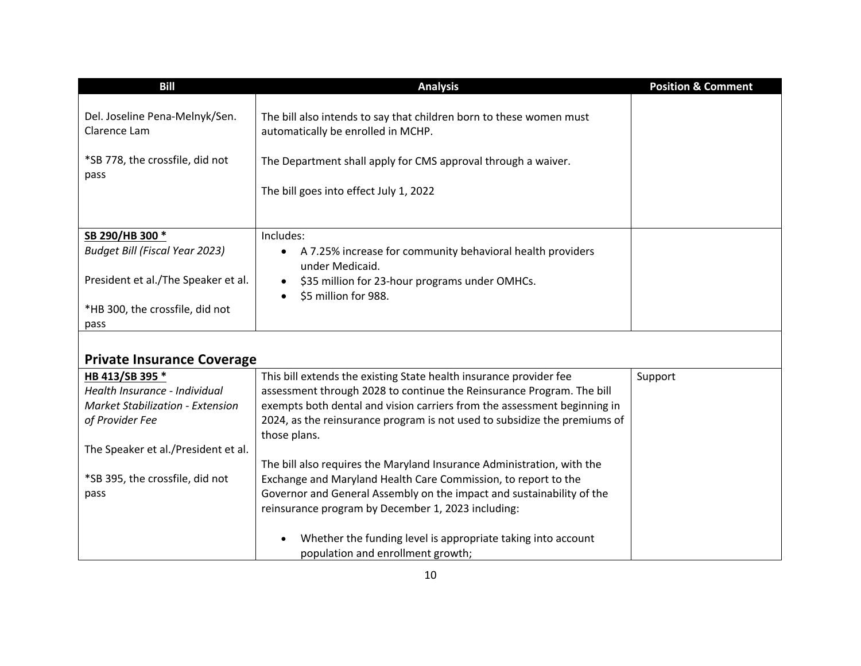| <b>Bill</b>                                    | <b>Analysis</b>                                                                                           | <b>Position &amp; Comment</b> |
|------------------------------------------------|-----------------------------------------------------------------------------------------------------------|-------------------------------|
| Del. Joseline Pena-Melnyk/Sen.<br>Clarence Lam | The bill also intends to say that children born to these women must<br>automatically be enrolled in MCHP. |                               |
| *SB 778, the crossfile, did not<br>pass        | The Department shall apply for CMS approval through a waiver.                                             |                               |
|                                                | The bill goes into effect July 1, 2022                                                                    |                               |
|                                                |                                                                                                           |                               |
| SB 290/HB 300 *                                | Includes:                                                                                                 |                               |
| <b>Budget Bill (Fiscal Year 2023)</b>          | A 7.25% increase for community behavioral health providers<br>under Medicaid.                             |                               |
| President et al./The Speaker et al.            | \$35 million for 23-hour programs under OMHCs.<br>\$5 million for 988.                                    |                               |
| *HB 300, the crossfile, did not                |                                                                                                           |                               |
| pass                                           |                                                                                                           |                               |
| <b>Private Insurance Coverage</b>              |                                                                                                           |                               |

| HB 413/SB 395 *                         | This bill extends the existing State health insurance provider fee        | Support |
|-----------------------------------------|---------------------------------------------------------------------------|---------|
| Health Insurance - Individual           | assessment through 2028 to continue the Reinsurance Program. The bill     |         |
| <b>Market Stabilization - Extension</b> | exempts both dental and vision carriers from the assessment beginning in  |         |
| of Provider Fee                         | 2024, as the reinsurance program is not used to subsidize the premiums of |         |
|                                         | those plans.                                                              |         |
| The Speaker et al./President et al.     |                                                                           |         |
|                                         | The bill also requires the Maryland Insurance Administration, with the    |         |
| *SB 395, the crossfile, did not         | Exchange and Maryland Health Care Commission, to report to the            |         |
| pass                                    | Governor and General Assembly on the impact and sustainability of the     |         |
|                                         | reinsurance program by December 1, 2023 including:                        |         |
|                                         |                                                                           |         |
|                                         | Whether the funding level is appropriate taking into account              |         |
|                                         | population and enrollment growth;                                         |         |

i.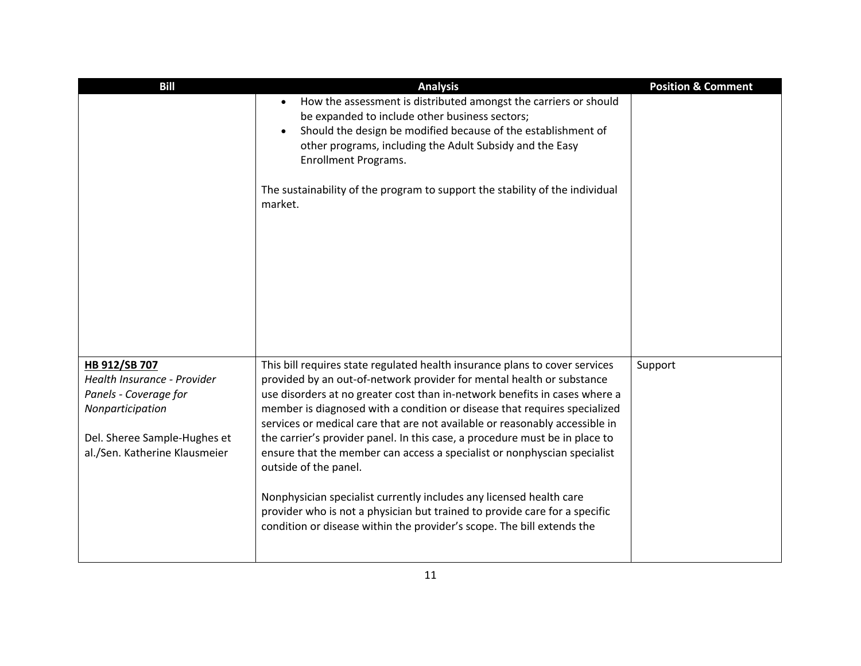| <b>Bill</b>                                                                                                                                                | <b>Analysis</b>                                                                                                                                                                                                                                                                                                                                                                                                                                                                                                                                                                                                                                                                                                                                                                                                   | <b>Position &amp; Comment</b> |
|------------------------------------------------------------------------------------------------------------------------------------------------------------|-------------------------------------------------------------------------------------------------------------------------------------------------------------------------------------------------------------------------------------------------------------------------------------------------------------------------------------------------------------------------------------------------------------------------------------------------------------------------------------------------------------------------------------------------------------------------------------------------------------------------------------------------------------------------------------------------------------------------------------------------------------------------------------------------------------------|-------------------------------|
|                                                                                                                                                            | How the assessment is distributed amongst the carriers or should<br>be expanded to include other business sectors;<br>Should the design be modified because of the establishment of<br>$\bullet$<br>other programs, including the Adult Subsidy and the Easy<br>Enrollment Programs.                                                                                                                                                                                                                                                                                                                                                                                                                                                                                                                              |                               |
|                                                                                                                                                            | The sustainability of the program to support the stability of the individual<br>market.                                                                                                                                                                                                                                                                                                                                                                                                                                                                                                                                                                                                                                                                                                                           |                               |
| HB 912/SB 707<br>Health Insurance - Provider<br>Panels - Coverage for<br>Nonparticipation<br>Del. Sheree Sample-Hughes et<br>al./Sen. Katherine Klausmeier | This bill requires state regulated health insurance plans to cover services<br>provided by an out-of-network provider for mental health or substance<br>use disorders at no greater cost than in-network benefits in cases where a<br>member is diagnosed with a condition or disease that requires specialized<br>services or medical care that are not available or reasonably accessible in<br>the carrier's provider panel. In this case, a procedure must be in place to<br>ensure that the member can access a specialist or nonphyscian specialist<br>outside of the panel.<br>Nonphysician specialist currently includes any licensed health care<br>provider who is not a physician but trained to provide care for a specific<br>condition or disease within the provider's scope. The bill extends the | Support                       |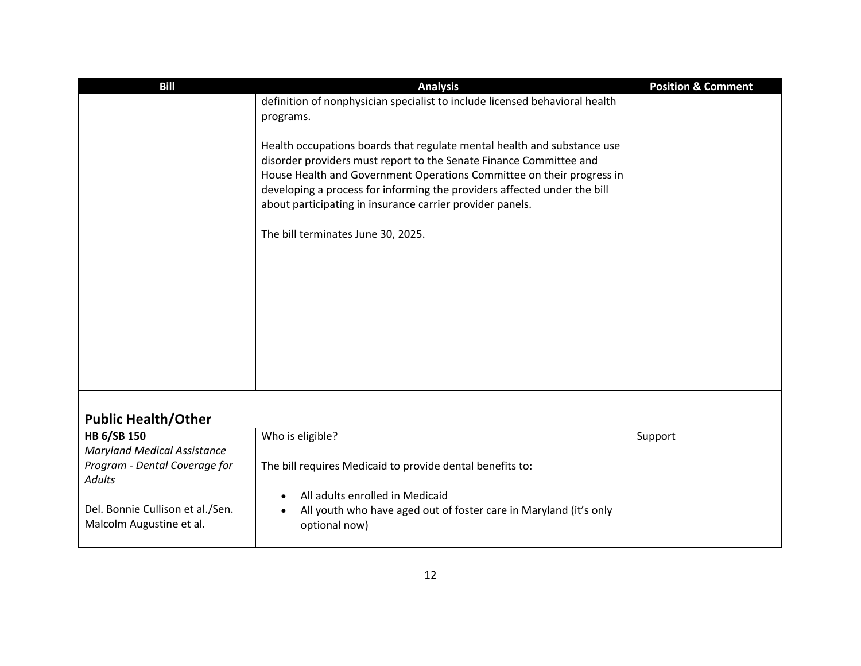| <b>Bill</b>                                                  | <b>Analysis</b>                                                                                                                                                                                                                                                                                                                                                                                       | <b>Position &amp; Comment</b> |
|--------------------------------------------------------------|-------------------------------------------------------------------------------------------------------------------------------------------------------------------------------------------------------------------------------------------------------------------------------------------------------------------------------------------------------------------------------------------------------|-------------------------------|
|                                                              | definition of nonphysician specialist to include licensed behavioral health                                                                                                                                                                                                                                                                                                                           |                               |
|                                                              | programs.                                                                                                                                                                                                                                                                                                                                                                                             |                               |
|                                                              | Health occupations boards that regulate mental health and substance use<br>disorder providers must report to the Senate Finance Committee and<br>House Health and Government Operations Committee on their progress in<br>developing a process for informing the providers affected under the bill<br>about participating in insurance carrier provider panels.<br>The bill terminates June 30, 2025. |                               |
|                                                              |                                                                                                                                                                                                                                                                                                                                                                                                       |                               |
|                                                              |                                                                                                                                                                                                                                                                                                                                                                                                       |                               |
| <b>Public Health/Other</b>                                   |                                                                                                                                                                                                                                                                                                                                                                                                       |                               |
| <b>HB 6/SB 150</b>                                           | Who is eligible?                                                                                                                                                                                                                                                                                                                                                                                      | Support                       |
| <b>Maryland Medical Assistance</b>                           |                                                                                                                                                                                                                                                                                                                                                                                                       |                               |
| Program - Dental Coverage for<br><b>Adults</b>               | The bill requires Medicaid to provide dental benefits to:                                                                                                                                                                                                                                                                                                                                             |                               |
| Del. Bonnie Cullison et al./Sen.<br>Malcolm Augustine et al. | All adults enrolled in Medicaid<br>All youth who have aged out of foster care in Maryland (it's only<br>optional now)                                                                                                                                                                                                                                                                                 |                               |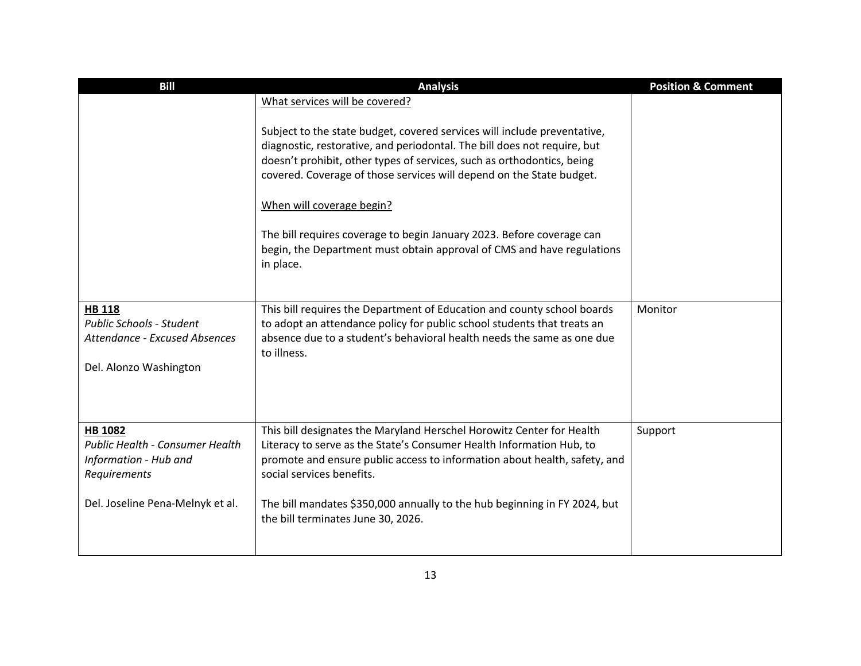| <b>Bill</b>                                              | <b>Analysis</b>                                                                                                                                              | <b>Position &amp; Comment</b> |
|----------------------------------------------------------|--------------------------------------------------------------------------------------------------------------------------------------------------------------|-------------------------------|
|                                                          | What services will be covered?                                                                                                                               |                               |
|                                                          | Subject to the state budget, covered services will include preventative,                                                                                     |                               |
|                                                          | diagnostic, restorative, and periodontal. The bill does not require, but                                                                                     |                               |
|                                                          | doesn't prohibit, other types of services, such as orthodontics, being<br>covered. Coverage of those services will depend on the State budget.               |                               |
|                                                          | When will coverage begin?                                                                                                                                    |                               |
|                                                          | The bill requires coverage to begin January 2023. Before coverage can<br>begin, the Department must obtain approval of CMS and have regulations<br>in place. |                               |
|                                                          |                                                                                                                                                              |                               |
| <b>HB 118</b><br><b>Public Schools - Student</b>         | This bill requires the Department of Education and county school boards<br>to adopt an attendance policy for public school students that treats an           | Monitor                       |
| <b>Attendance - Excused Absences</b>                     | absence due to a student's behavioral health needs the same as one due<br>to illness.                                                                        |                               |
| Del. Alonzo Washington                                   |                                                                                                                                                              |                               |
|                                                          |                                                                                                                                                              |                               |
| HB 1082                                                  | This bill designates the Maryland Herschel Horowitz Center for Health                                                                                        | Support                       |
| Public Health - Consumer Health<br>Information - Hub and | Literacy to serve as the State's Consumer Health Information Hub, to<br>promote and ensure public access to information about health, safety, and            |                               |
| Requirements                                             | social services benefits.                                                                                                                                    |                               |
| Del. Joseline Pena-Melnyk et al.                         | The bill mandates \$350,000 annually to the hub beginning in FY 2024, but<br>the bill terminates June 30, 2026.                                              |                               |
|                                                          |                                                                                                                                                              |                               |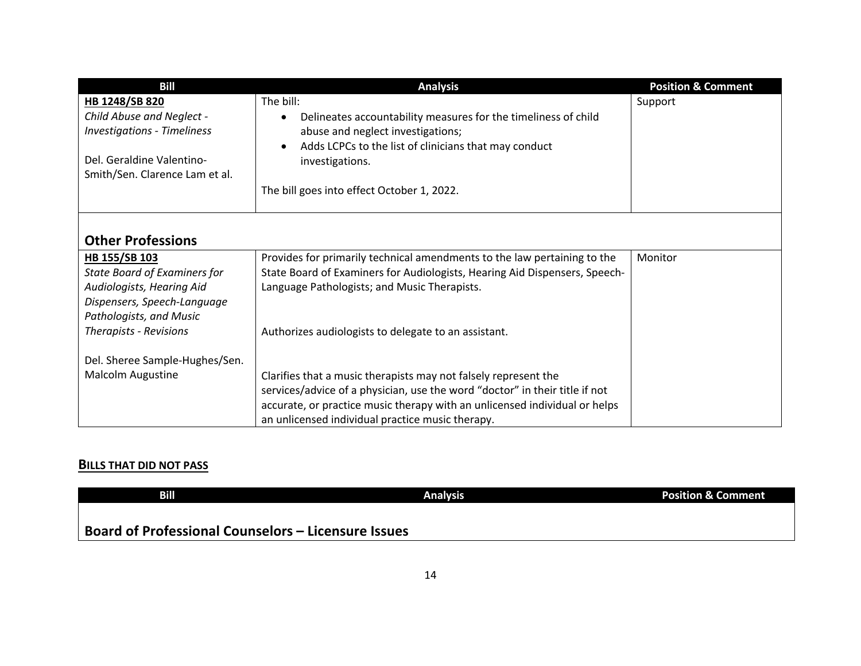| <b>Bill</b>                                                                                                                                 | <b>Analysis</b>                                                                                                                                                                                                              | <b>Position &amp; Comment</b> |
|---------------------------------------------------------------------------------------------------------------------------------------------|------------------------------------------------------------------------------------------------------------------------------------------------------------------------------------------------------------------------------|-------------------------------|
| HB 1248/SB 820<br>Child Abuse and Neglect -<br><b>Investigations - Timeliness</b>                                                           | The bill:<br>Delineates accountability measures for the timeliness of child<br>abuse and neglect investigations;                                                                                                             | Support                       |
| Del. Geraldine Valentino-<br>Smith/Sen. Clarence Lam et al.                                                                                 | Adds LCPCs to the list of clinicians that may conduct<br>investigations.                                                                                                                                                     |                               |
|                                                                                                                                             | The bill goes into effect October 1, 2022.                                                                                                                                                                                   |                               |
| <b>Other Professions</b>                                                                                                                    |                                                                                                                                                                                                                              |                               |
| HB 155/SB 103<br><b>State Board of Examiners for</b><br>Audiologists, Hearing Aid<br>Dispensers, Speech-Language<br>Pathologists, and Music | Provides for primarily technical amendments to the law pertaining to the<br>State Board of Examiners for Audiologists, Hearing Aid Dispensers, Speech-<br>Language Pathologists; and Music Therapists.                       | Monitor                       |
| <b>Therapists - Revisions</b>                                                                                                               | Authorizes audiologists to delegate to an assistant.                                                                                                                                                                         |                               |
| Del. Sheree Sample-Hughes/Sen.<br>Malcolm Augustine                                                                                         | Clarifies that a music therapists may not falsely represent the<br>services/advice of a physician, use the word "doctor" in their title if not<br>accurate, or practice music therapy with an unlicensed individual or helps |                               |
|                                                                                                                                             | an unlicensed individual practice music therapy.                                                                                                                                                                             |                               |

## **BILLS THAT DID NOT PASS**

| Bill                                                       | <b>Analysis</b> | <b>Position &amp; Comment</b> |
|------------------------------------------------------------|-----------------|-------------------------------|
|                                                            |                 |                               |
| <b>Board of Professional Counselors – Licensure Issues</b> |                 |                               |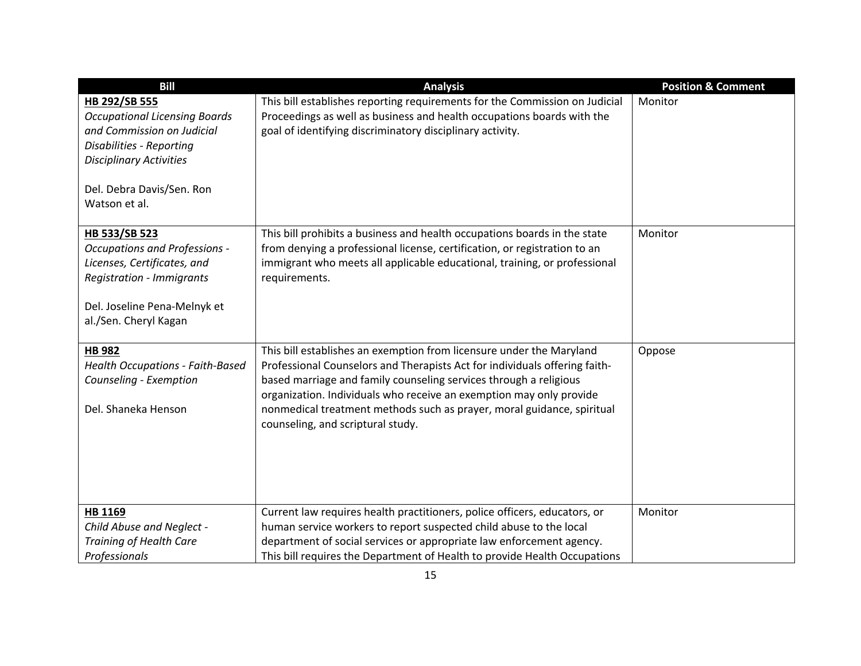| <b>Bill</b>                                                                                                                                                                                            | <b>Analysis</b>                                                                                                                                                                                                                                                                                                                                                                                               | <b>Position &amp; Comment</b> |
|--------------------------------------------------------------------------------------------------------------------------------------------------------------------------------------------------------|---------------------------------------------------------------------------------------------------------------------------------------------------------------------------------------------------------------------------------------------------------------------------------------------------------------------------------------------------------------------------------------------------------------|-------------------------------|
| HB 292/SB 555<br><b>Occupational Licensing Boards</b><br>and Commission on Judicial<br><b>Disabilities - Reporting</b><br><b>Disciplinary Activities</b><br>Del. Debra Davis/Sen. Ron<br>Watson et al. | This bill establishes reporting requirements for the Commission on Judicial<br>Proceedings as well as business and health occupations boards with the<br>goal of identifying discriminatory disciplinary activity.                                                                                                                                                                                            | Monitor                       |
| HB 533/SB 523<br><b>Occupations and Professions -</b><br>Licenses, Certificates, and<br><b>Registration - Immigrants</b><br>Del. Joseline Pena-Melnyk et<br>al./Sen. Cheryl Kagan                      | This bill prohibits a business and health occupations boards in the state<br>from denying a professional license, certification, or registration to an<br>immigrant who meets all applicable educational, training, or professional<br>requirements.                                                                                                                                                          | Monitor                       |
| <b>HB 982</b><br>Health Occupations - Faith-Based<br>Counseling - Exemption<br>Del. Shaneka Henson                                                                                                     | This bill establishes an exemption from licensure under the Maryland<br>Professional Counselors and Therapists Act for individuals offering faith-<br>based marriage and family counseling services through a religious<br>organization. Individuals who receive an exemption may only provide<br>nonmedical treatment methods such as prayer, moral guidance, spiritual<br>counseling, and scriptural study. | Oppose                        |
| HB 1169<br>Child Abuse and Neglect -<br><b>Training of Health Care</b><br>Professionals                                                                                                                | Current law requires health practitioners, police officers, educators, or<br>human service workers to report suspected child abuse to the local<br>department of social services or appropriate law enforcement agency.<br>This bill requires the Department of Health to provide Health Occupations                                                                                                          | Monitor                       |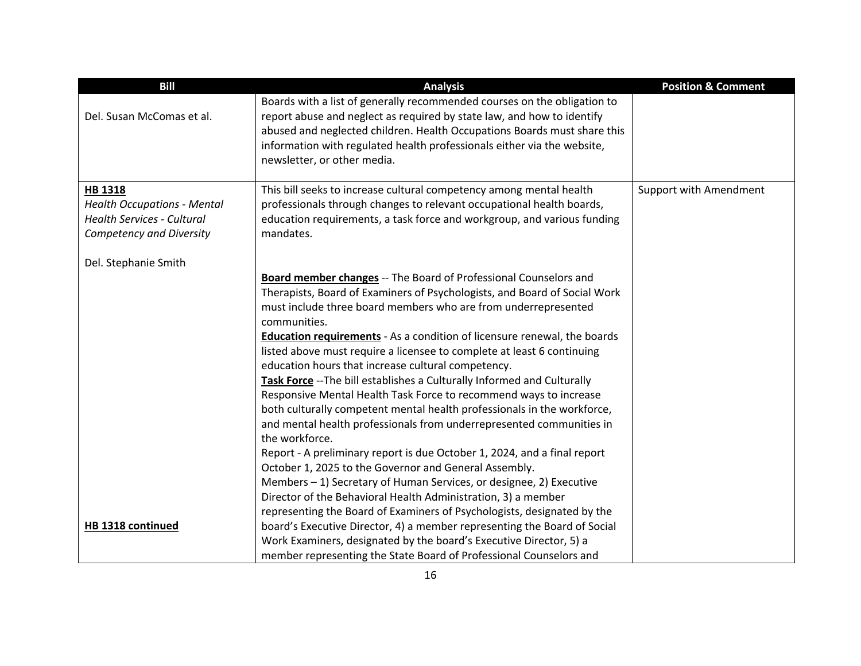| <b>Bill</b>                                                                                                           | <b>Analysis</b>                                                                                                                                                                                                                                                                                                                          | <b>Position &amp; Comment</b> |
|-----------------------------------------------------------------------------------------------------------------------|------------------------------------------------------------------------------------------------------------------------------------------------------------------------------------------------------------------------------------------------------------------------------------------------------------------------------------------|-------------------------------|
| Del. Susan McComas et al.                                                                                             | Boards with a list of generally recommended courses on the obligation to<br>report abuse and neglect as required by state law, and how to identify<br>abused and neglected children. Health Occupations Boards must share this<br>information with regulated health professionals either via the website,<br>newsletter, or other media. |                               |
| <b>HB 1318</b><br><b>Health Occupations - Mental</b><br><b>Health Services - Cultural</b><br>Competency and Diversity | This bill seeks to increase cultural competency among mental health<br>professionals through changes to relevant occupational health boards,<br>education requirements, a task force and workgroup, and various funding<br>mandates.                                                                                                     | Support with Amendment        |
| Del. Stephanie Smith                                                                                                  |                                                                                                                                                                                                                                                                                                                                          |                               |
|                                                                                                                       | Board member changes -- The Board of Professional Counselors and<br>Therapists, Board of Examiners of Psychologists, and Board of Social Work<br>must include three board members who are from underrepresented<br>communities.                                                                                                          |                               |
|                                                                                                                       | <b>Education requirements</b> - As a condition of licensure renewal, the boards<br>listed above must require a licensee to complete at least 6 continuing<br>education hours that increase cultural competency.<br>Task Force -- The bill establishes a Culturally Informed and Culturally                                               |                               |
|                                                                                                                       | Responsive Mental Health Task Force to recommend ways to increase<br>both culturally competent mental health professionals in the workforce,<br>and mental health professionals from underrepresented communities in<br>the workforce.                                                                                                   |                               |
|                                                                                                                       | Report - A preliminary report is due October 1, 2024, and a final report<br>October 1, 2025 to the Governor and General Assembly.<br>Members - 1) Secretary of Human Services, or designee, 2) Executive                                                                                                                                 |                               |
| HB 1318 continued                                                                                                     | Director of the Behavioral Health Administration, 3) a member<br>representing the Board of Examiners of Psychologists, designated by the<br>board's Executive Director, 4) a member representing the Board of Social                                                                                                                     |                               |
|                                                                                                                       | Work Examiners, designated by the board's Executive Director, 5) a<br>member representing the State Board of Professional Counselors and                                                                                                                                                                                                 |                               |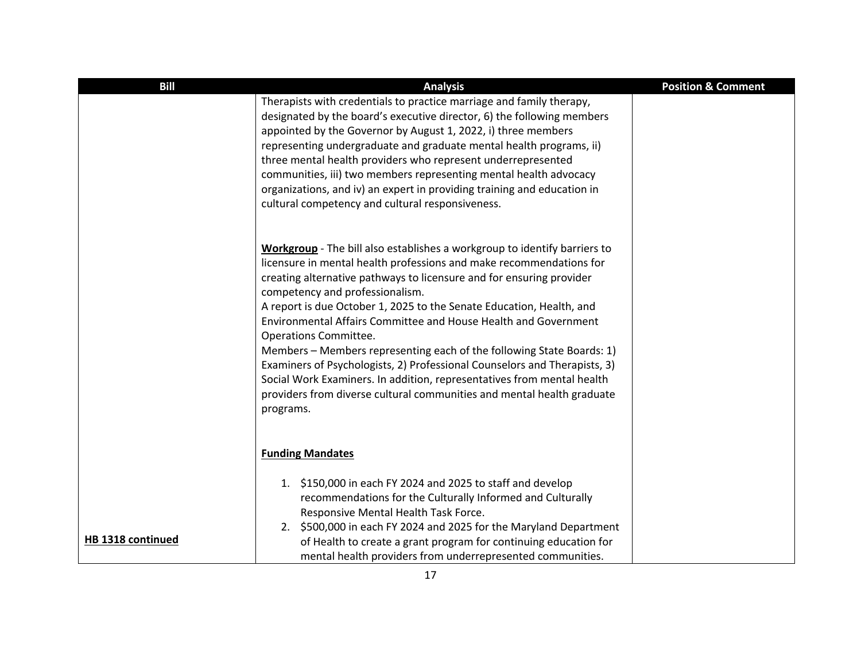| <b>Bill</b>       | <b>Analysis</b>                                                                                                                                                                                                                                                                                                                                                                                                                                                                                                                                                                                                                                                                                                                                        | <b>Position &amp; Comment</b> |
|-------------------|--------------------------------------------------------------------------------------------------------------------------------------------------------------------------------------------------------------------------------------------------------------------------------------------------------------------------------------------------------------------------------------------------------------------------------------------------------------------------------------------------------------------------------------------------------------------------------------------------------------------------------------------------------------------------------------------------------------------------------------------------------|-------------------------------|
|                   | Therapists with credentials to practice marriage and family therapy,<br>designated by the board's executive director, 6) the following members<br>appointed by the Governor by August 1, 2022, i) three members<br>representing undergraduate and graduate mental health programs, ii)<br>three mental health providers who represent underrepresented<br>communities, iii) two members representing mental health advocacy<br>organizations, and iv) an expert in providing training and education in<br>cultural competency and cultural responsiveness.                                                                                                                                                                                             |                               |
|                   | Workgroup - The bill also establishes a workgroup to identify barriers to<br>licensure in mental health professions and make recommendations for<br>creating alternative pathways to licensure and for ensuring provider<br>competency and professionalism.<br>A report is due October 1, 2025 to the Senate Education, Health, and<br>Environmental Affairs Committee and House Health and Government<br>Operations Committee.<br>Members - Members representing each of the following State Boards: 1)<br>Examiners of Psychologists, 2) Professional Counselors and Therapists, 3)<br>Social Work Examiners. In addition, representatives from mental health<br>providers from diverse cultural communities and mental health graduate<br>programs. |                               |
| HB 1318 continued | <b>Funding Mandates</b><br>1. \$150,000 in each FY 2024 and 2025 to staff and develop<br>recommendations for the Culturally Informed and Culturally<br>Responsive Mental Health Task Force.<br>2. \$500,000 in each FY 2024 and 2025 for the Maryland Department<br>of Health to create a grant program for continuing education for<br>mental health providers from underrepresented communities.                                                                                                                                                                                                                                                                                                                                                     |                               |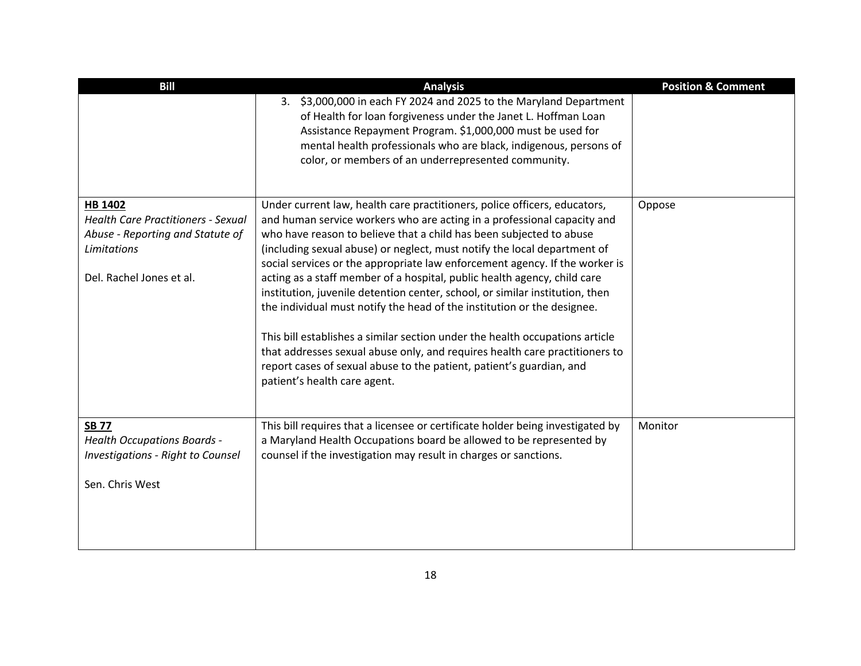| <b>Bill</b>                                                                                                                                | <b>Analysis</b>                                                                                                                                                                                                                                                                                                                                                                                                                                                                                                                                                                                                                                                                                                                                                                                                                                                                                      | <b>Position &amp; Comment</b> |
|--------------------------------------------------------------------------------------------------------------------------------------------|------------------------------------------------------------------------------------------------------------------------------------------------------------------------------------------------------------------------------------------------------------------------------------------------------------------------------------------------------------------------------------------------------------------------------------------------------------------------------------------------------------------------------------------------------------------------------------------------------------------------------------------------------------------------------------------------------------------------------------------------------------------------------------------------------------------------------------------------------------------------------------------------------|-------------------------------|
|                                                                                                                                            | 3. \$3,000,000 in each FY 2024 and 2025 to the Maryland Department<br>of Health for loan forgiveness under the Janet L. Hoffman Loan<br>Assistance Repayment Program. \$1,000,000 must be used for<br>mental health professionals who are black, indigenous, persons of<br>color, or members of an underrepresented community.                                                                                                                                                                                                                                                                                                                                                                                                                                                                                                                                                                       |                               |
| HB 1402<br><b>Health Care Practitioners - Sexual</b><br>Abuse - Reporting and Statute of<br><b>Limitations</b><br>Del. Rachel Jones et al. | Under current law, health care practitioners, police officers, educators,<br>and human service workers who are acting in a professional capacity and<br>who have reason to believe that a child has been subjected to abuse<br>(including sexual abuse) or neglect, must notify the local department of<br>social services or the appropriate law enforcement agency. If the worker is<br>acting as a staff member of a hospital, public health agency, child care<br>institution, juvenile detention center, school, or similar institution, then<br>the individual must notify the head of the institution or the designee.<br>This bill establishes a similar section under the health occupations article<br>that addresses sexual abuse only, and requires health care practitioners to<br>report cases of sexual abuse to the patient, patient's guardian, and<br>patient's health care agent. | Oppose                        |
| <b>SB 77</b><br><b>Health Occupations Boards -</b><br><b>Investigations - Right to Counsel</b><br>Sen. Chris West                          | This bill requires that a licensee or certificate holder being investigated by<br>a Maryland Health Occupations board be allowed to be represented by<br>counsel if the investigation may result in charges or sanctions.                                                                                                                                                                                                                                                                                                                                                                                                                                                                                                                                                                                                                                                                            | Monitor                       |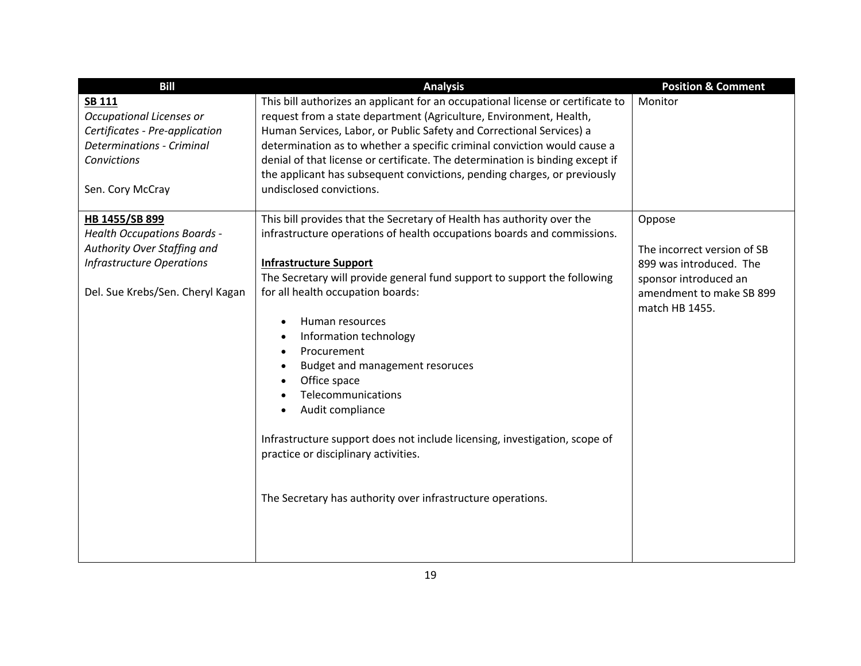| <b>Bill</b>                                                                                                                                        | <b>Analysis</b>                                                                                                                                                                                                                                                                                                                                                                                                                                                                                    | <b>Position &amp; Comment</b>                                       |
|----------------------------------------------------------------------------------------------------------------------------------------------------|----------------------------------------------------------------------------------------------------------------------------------------------------------------------------------------------------------------------------------------------------------------------------------------------------------------------------------------------------------------------------------------------------------------------------------------------------------------------------------------------------|---------------------------------------------------------------------|
| <b>SB 111</b><br>Occupational Licenses or<br>Certificates - Pre-application<br><b>Determinations - Criminal</b><br>Convictions<br>Sen. Cory McCray | This bill authorizes an applicant for an occupational license or certificate to<br>request from a state department (Agriculture, Environment, Health,<br>Human Services, Labor, or Public Safety and Correctional Services) a<br>determination as to whether a specific criminal conviction would cause a<br>denial of that license or certificate. The determination is binding except if<br>the applicant has subsequent convictions, pending charges, or previously<br>undisclosed convictions. | Monitor                                                             |
| HB 1455/SB 899                                                                                                                                     | This bill provides that the Secretary of Health has authority over the                                                                                                                                                                                                                                                                                                                                                                                                                             | Oppose                                                              |
| <b>Health Occupations Boards -</b>                                                                                                                 | infrastructure operations of health occupations boards and commissions.                                                                                                                                                                                                                                                                                                                                                                                                                            |                                                                     |
| Authority Over Staffing and                                                                                                                        |                                                                                                                                                                                                                                                                                                                                                                                                                                                                                                    | The incorrect version of SB                                         |
| <b>Infrastructure Operations</b>                                                                                                                   | <b>Infrastructure Support</b>                                                                                                                                                                                                                                                                                                                                                                                                                                                                      | 899 was introduced. The                                             |
| Del. Sue Krebs/Sen. Cheryl Kagan                                                                                                                   | The Secretary will provide general fund support to support the following<br>for all health occupation boards:<br>Human resources<br>$\bullet$<br>Information technology<br>$\bullet$<br>Procurement<br>$\bullet$<br>Budget and management resoruces<br>$\bullet$<br>Office space<br>Telecommunications<br>Audit compliance<br>Infrastructure support does not include licensing, investigation, scope of                                                                                           | sponsor introduced an<br>amendment to make SB 899<br>match HB 1455. |
|                                                                                                                                                    | practice or disciplinary activities.<br>The Secretary has authority over infrastructure operations.                                                                                                                                                                                                                                                                                                                                                                                                |                                                                     |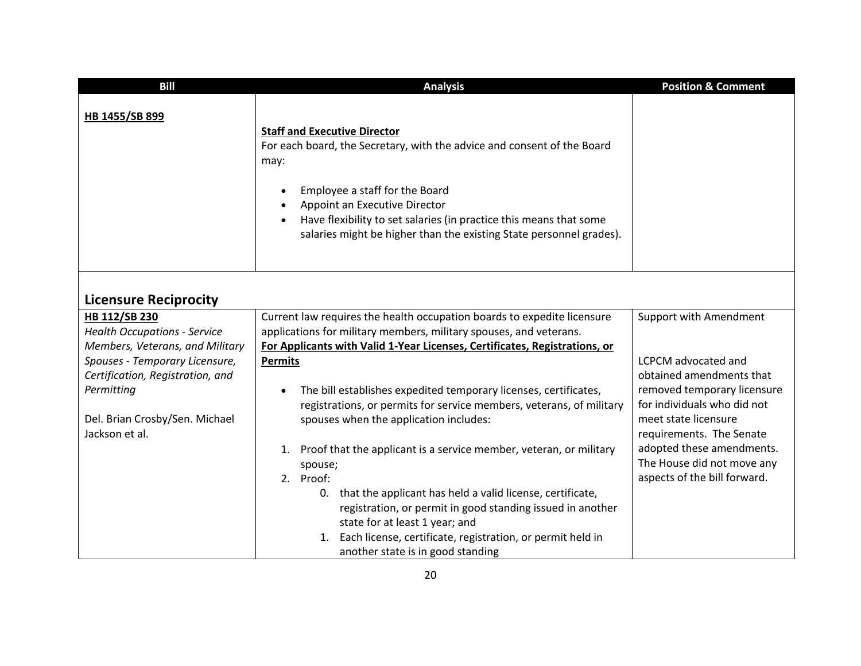| <b>Bill</b>                                                                      | <b>Analysis</b>                                                                                                                                                                                                                                                                                                                                                     | <b>Position &amp; Comment</b>                                                           |
|----------------------------------------------------------------------------------|---------------------------------------------------------------------------------------------------------------------------------------------------------------------------------------------------------------------------------------------------------------------------------------------------------------------------------------------------------------------|-----------------------------------------------------------------------------------------|
| HB 1455/SB 899                                                                   | <b>Staff and Executive Director</b><br>For each board, the Secretary, with the advice and consent of the Board<br>may:<br>Employee a staff for the Board<br>$\bullet$<br>Appoint an Executive Director<br>Have flexibility to set salaries (in practice this means that some<br>$\bullet$<br>salaries might be higher than the existing State personnel grades).    |                                                                                         |
| <b>Licensure Reciprocity</b>                                                     |                                                                                                                                                                                                                                                                                                                                                                     |                                                                                         |
| HB 112/SB 230                                                                    | Current law requires the health occupation boards to expedite licensure                                                                                                                                                                                                                                                                                             | Support with Amendment                                                                  |
| <b>Health Occupations - Service</b><br>Members, Veterans, and Military           | applications for military members, military spouses, and veterans.<br>For Applicants with Valid 1-Year Licenses, Certificates, Registrations, or                                                                                                                                                                                                                    |                                                                                         |
| Spouses - Temporary Licensure,<br>Certification, Registration, and<br>Permitting | <b>Permits</b><br>The bill establishes expedited temporary licenses, certificates,<br>$\bullet$                                                                                                                                                                                                                                                                     | <b>LCPCM</b> advocated and<br>obtained amendments that<br>removed temporary licensure   |
| Del. Brian Crosby/Sen. Michael<br>Jackson et al.                                 | registrations, or permits for service members, veterans, of military<br>spouses when the application includes:                                                                                                                                                                                                                                                      | for individuals who did not<br>meet state licensure<br>requirements. The Senate         |
|                                                                                  | 1. Proof that the applicant is a service member, veteran, or military<br>spouse;<br>2. Proof:<br>0. that the applicant has held a valid license, certificate,<br>registration, or permit in good standing issued in another<br>state for at least 1 year; and<br>1. Each license, certificate, registration, or permit held in<br>another state is in good standing | adopted these amendments.<br>The House did not move any<br>aspects of the bill forward. |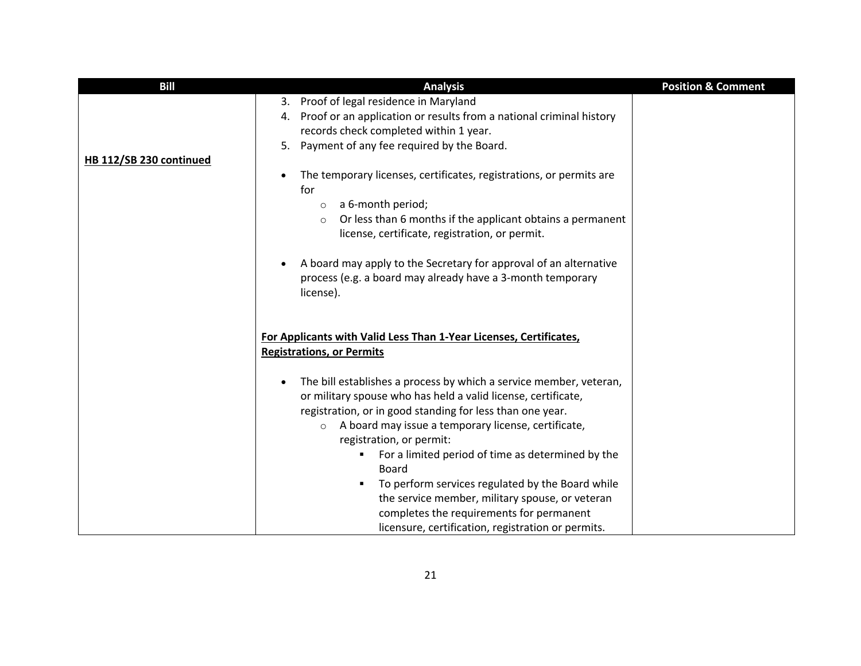| <b>Bill</b>             | <b>Analysis</b>                                                                                                                                                                                                                                                                                                                                                                                                 | <b>Position &amp; Comment</b> |
|-------------------------|-----------------------------------------------------------------------------------------------------------------------------------------------------------------------------------------------------------------------------------------------------------------------------------------------------------------------------------------------------------------------------------------------------------------|-------------------------------|
|                         | 3. Proof of legal residence in Maryland                                                                                                                                                                                                                                                                                                                                                                         |                               |
|                         | 4. Proof or an application or results from a national criminal history                                                                                                                                                                                                                                                                                                                                          |                               |
|                         | records check completed within 1 year.                                                                                                                                                                                                                                                                                                                                                                          |                               |
|                         | Payment of any fee required by the Board.<br>5.                                                                                                                                                                                                                                                                                                                                                                 |                               |
| HB 112/SB 230 continued | The temporary licenses, certificates, registrations, or permits are<br>$\bullet$<br>for<br>a 6-month period;<br>$\circ$<br>Or less than 6 months if the applicant obtains a permanent<br>$\circ$<br>license, certificate, registration, or permit.<br>A board may apply to the Secretary for approval of an alternative<br>$\bullet$<br>process (e.g. a board may already have a 3-month temporary<br>license). |                               |
|                         | For Applicants with Valid Less Than 1-Year Licenses, Certificates,<br><b>Registrations, or Permits</b><br>The bill establishes a process by which a service member, veteran,<br>$\bullet$<br>or military spouse who has held a valid license, certificate,<br>registration, or in good standing for less than one year.<br>A board may issue a temporary license, certificate,<br>$\circ$                       |                               |
|                         | registration, or permit:                                                                                                                                                                                                                                                                                                                                                                                        |                               |
|                         | For a limited period of time as determined by the<br>Board                                                                                                                                                                                                                                                                                                                                                      |                               |
|                         | To perform services regulated by the Board while<br>п                                                                                                                                                                                                                                                                                                                                                           |                               |
|                         | the service member, military spouse, or veteran                                                                                                                                                                                                                                                                                                                                                                 |                               |
|                         | completes the requirements for permanent                                                                                                                                                                                                                                                                                                                                                                        |                               |
|                         | licensure, certification, registration or permits.                                                                                                                                                                                                                                                                                                                                                              |                               |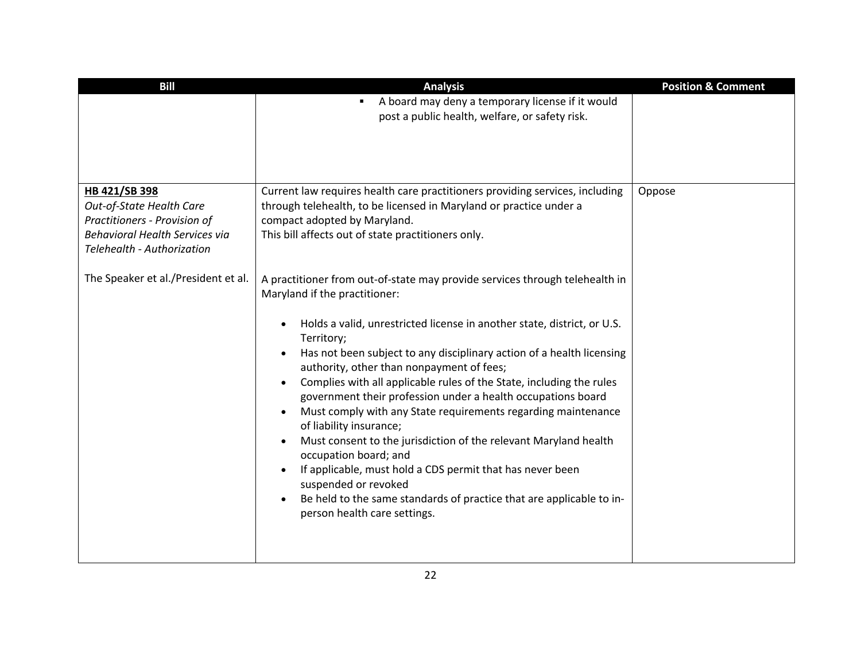| <b>Bill</b>                                                                                                                                      | <b>Analysis</b>                                                                                                                                                                                                                                                                                                                                                                                                                                                                                                                                                                                                                                                                                                                                                                                                                                                                                               | <b>Position &amp; Comment</b> |
|--------------------------------------------------------------------------------------------------------------------------------------------------|---------------------------------------------------------------------------------------------------------------------------------------------------------------------------------------------------------------------------------------------------------------------------------------------------------------------------------------------------------------------------------------------------------------------------------------------------------------------------------------------------------------------------------------------------------------------------------------------------------------------------------------------------------------------------------------------------------------------------------------------------------------------------------------------------------------------------------------------------------------------------------------------------------------|-------------------------------|
|                                                                                                                                                  | A board may deny a temporary license if it would<br>post a public health, welfare, or safety risk.                                                                                                                                                                                                                                                                                                                                                                                                                                                                                                                                                                                                                                                                                                                                                                                                            |                               |
| HB 421/SB 398<br>Out-of-State Health Care<br>Practitioners - Provision of<br><b>Behavioral Health Services via</b><br>Telehealth - Authorization | Current law requires health care practitioners providing services, including<br>through telehealth, to be licensed in Maryland or practice under a<br>compact adopted by Maryland.<br>This bill affects out of state practitioners only.                                                                                                                                                                                                                                                                                                                                                                                                                                                                                                                                                                                                                                                                      | Oppose                        |
| The Speaker et al./President et al.                                                                                                              | A practitioner from out-of-state may provide services through telehealth in<br>Maryland if the practitioner:<br>Holds a valid, unrestricted license in another state, district, or U.S.<br>$\bullet$<br>Territory;<br>Has not been subject to any disciplinary action of a health licensing<br>authority, other than nonpayment of fees;<br>Complies with all applicable rules of the State, including the rules<br>$\bullet$<br>government their profession under a health occupations board<br>Must comply with any State requirements regarding maintenance<br>of liability insurance;<br>Must consent to the jurisdiction of the relevant Maryland health<br>$\bullet$<br>occupation board; and<br>If applicable, must hold a CDS permit that has never been<br>suspended or revoked<br>Be held to the same standards of practice that are applicable to in-<br>$\bullet$<br>person health care settings. |                               |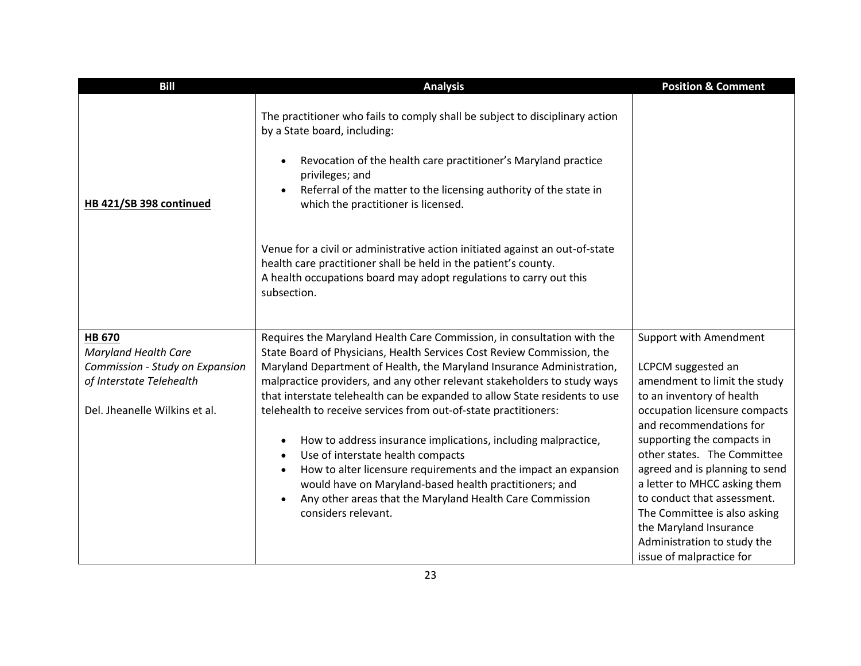| <b>Bill</b>                     | <b>Analysis</b>                                                                                                                                                                                                                                                                                                                                           | <b>Position &amp; Comment</b>                                                                                                                                                                                                                                                   |
|---------------------------------|-----------------------------------------------------------------------------------------------------------------------------------------------------------------------------------------------------------------------------------------------------------------------------------------------------------------------------------------------------------|---------------------------------------------------------------------------------------------------------------------------------------------------------------------------------------------------------------------------------------------------------------------------------|
| HB 421/SB 398 continued         | The practitioner who fails to comply shall be subject to disciplinary action<br>by a State board, including:<br>Revocation of the health care practitioner's Maryland practice<br>$\bullet$<br>privileges; and<br>Referral of the matter to the licensing authority of the state in<br>$\bullet$<br>which the practitioner is licensed.                   |                                                                                                                                                                                                                                                                                 |
|                                 | Venue for a civil or administrative action initiated against an out-of-state<br>health care practitioner shall be held in the patient's county.<br>A health occupations board may adopt regulations to carry out this<br>subsection.                                                                                                                      |                                                                                                                                                                                                                                                                                 |
| <b>HB 670</b>                   | Requires the Maryland Health Care Commission, in consultation with the                                                                                                                                                                                                                                                                                    | <b>Support with Amendment</b>                                                                                                                                                                                                                                                   |
| <b>Maryland Health Care</b>     | State Board of Physicians, Health Services Cost Review Commission, the                                                                                                                                                                                                                                                                                    |                                                                                                                                                                                                                                                                                 |
| Commission - Study on Expansion | Maryland Department of Health, the Maryland Insurance Administration,                                                                                                                                                                                                                                                                                     | LCPCM suggested an                                                                                                                                                                                                                                                              |
| of Interstate Telehealth        | malpractice providers, and any other relevant stakeholders to study ways                                                                                                                                                                                                                                                                                  | amendment to limit the study                                                                                                                                                                                                                                                    |
| Del. Jheanelle Wilkins et al.   | that interstate telehealth can be expanded to allow State residents to use<br>telehealth to receive services from out-of-state practitioners:                                                                                                                                                                                                             | to an inventory of health<br>occupation licensure compacts<br>and recommendations for                                                                                                                                                                                           |
|                                 | How to address insurance implications, including malpractice,<br>$\bullet$<br>Use of interstate health compacts<br>$\bullet$<br>How to alter licensure requirements and the impact an expansion<br>$\bullet$<br>would have on Maryland-based health practitioners; and<br>Any other areas that the Maryland Health Care Commission<br>considers relevant. | supporting the compacts in<br>other states. The Committee<br>agreed and is planning to send<br>a letter to MHCC asking them<br>to conduct that assessment.<br>The Committee is also asking<br>the Maryland Insurance<br>Administration to study the<br>issue of malpractice for |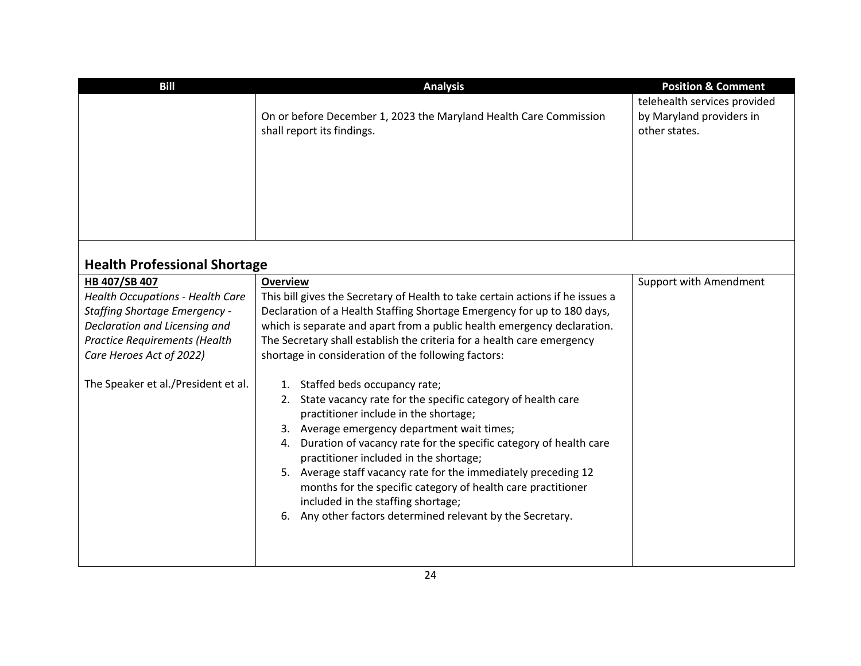| <b>Bill</b>                                                                                                                                                                                                                                  | <b>Analysis</b>                                                                                                                                                                                                                                                                                                                                                                                                                                                                                                                                                                                                                                                                                                                                                                                                                                                                                                                               | <b>Position &amp; Comment</b>                                             |
|----------------------------------------------------------------------------------------------------------------------------------------------------------------------------------------------------------------------------------------------|-----------------------------------------------------------------------------------------------------------------------------------------------------------------------------------------------------------------------------------------------------------------------------------------------------------------------------------------------------------------------------------------------------------------------------------------------------------------------------------------------------------------------------------------------------------------------------------------------------------------------------------------------------------------------------------------------------------------------------------------------------------------------------------------------------------------------------------------------------------------------------------------------------------------------------------------------|---------------------------------------------------------------------------|
|                                                                                                                                                                                                                                              | On or before December 1, 2023 the Maryland Health Care Commission<br>shall report its findings.                                                                                                                                                                                                                                                                                                                                                                                                                                                                                                                                                                                                                                                                                                                                                                                                                                               | telehealth services provided<br>by Maryland providers in<br>other states. |
| <b>Health Professional Shortage</b>                                                                                                                                                                                                          |                                                                                                                                                                                                                                                                                                                                                                                                                                                                                                                                                                                                                                                                                                                                                                                                                                                                                                                                               |                                                                           |
| HB 407/SB 407<br><b>Health Occupations - Health Care</b><br><b>Staffing Shortage Emergency -</b><br>Declaration and Licensing and<br><b>Practice Requirements (Health</b><br>Care Heroes Act of 2022)<br>The Speaker et al./President et al. | <b>Overview</b><br>This bill gives the Secretary of Health to take certain actions if he issues a<br>Declaration of a Health Staffing Shortage Emergency for up to 180 days,<br>which is separate and apart from a public health emergency declaration.<br>The Secretary shall establish the criteria for a health care emergency<br>shortage in consideration of the following factors:<br>1. Staffed beds occupancy rate;<br>2. State vacancy rate for the specific category of health care<br>practitioner include in the shortage;<br>3. Average emergency department wait times;<br>4. Duration of vacancy rate for the specific category of health care<br>practitioner included in the shortage;<br>5. Average staff vacancy rate for the immediately preceding 12<br>months for the specific category of health care practitioner<br>included in the staffing shortage;<br>6. Any other factors determined relevant by the Secretary. | <b>Support with Amendment</b>                                             |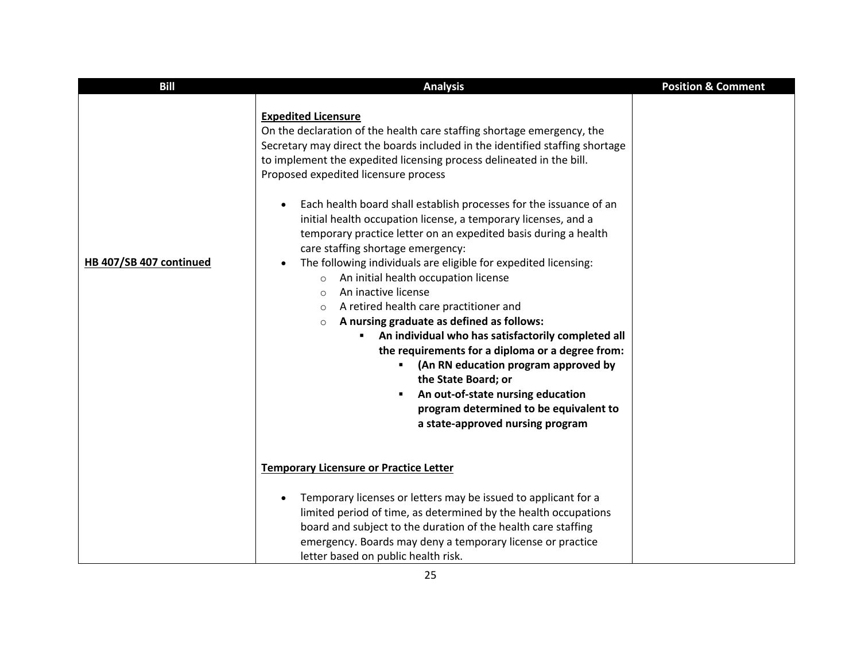| <b>Bill</b>             | <b>Analysis</b>                                                                                                                                                                                                                                                                                                                                                                                                                                                                                                                                                                                                                                                                                                                                                                                                                                                                                                                                                                                                                                                                                                                                                   | <b>Position &amp; Comment</b> |
|-------------------------|-------------------------------------------------------------------------------------------------------------------------------------------------------------------------------------------------------------------------------------------------------------------------------------------------------------------------------------------------------------------------------------------------------------------------------------------------------------------------------------------------------------------------------------------------------------------------------------------------------------------------------------------------------------------------------------------------------------------------------------------------------------------------------------------------------------------------------------------------------------------------------------------------------------------------------------------------------------------------------------------------------------------------------------------------------------------------------------------------------------------------------------------------------------------|-------------------------------|
| HB 407/SB 407 continued | <b>Expedited Licensure</b><br>On the declaration of the health care staffing shortage emergency, the<br>Secretary may direct the boards included in the identified staffing shortage<br>to implement the expedited licensing process delineated in the bill.<br>Proposed expedited licensure process<br>Each health board shall establish processes for the issuance of an<br>$\bullet$<br>initial health occupation license, a temporary licenses, and a<br>temporary practice letter on an expedited basis during a health<br>care staffing shortage emergency:<br>The following individuals are eligible for expedited licensing:<br>$\bullet$<br>An initial health occupation license<br>$\circ$<br>An inactive license<br>$\circ$<br>A retired health care practitioner and<br>$\circ$<br>A nursing graduate as defined as follows:<br>$\circ$<br>An individual who has satisfactorily completed all<br>the requirements for a diploma or a degree from:<br>(An RN education program approved by<br>$\blacksquare$<br>the State Board; or<br>An out-of-state nursing education<br>program determined to be equivalent to<br>a state-approved nursing program |                               |
|                         | <b>Temporary Licensure or Practice Letter</b><br>Temporary licenses or letters may be issued to applicant for a<br>$\bullet$<br>limited period of time, as determined by the health occupations<br>board and subject to the duration of the health care staffing<br>emergency. Boards may deny a temporary license or practice<br>letter based on public health risk.                                                                                                                                                                                                                                                                                                                                                                                                                                                                                                                                                                                                                                                                                                                                                                                             |                               |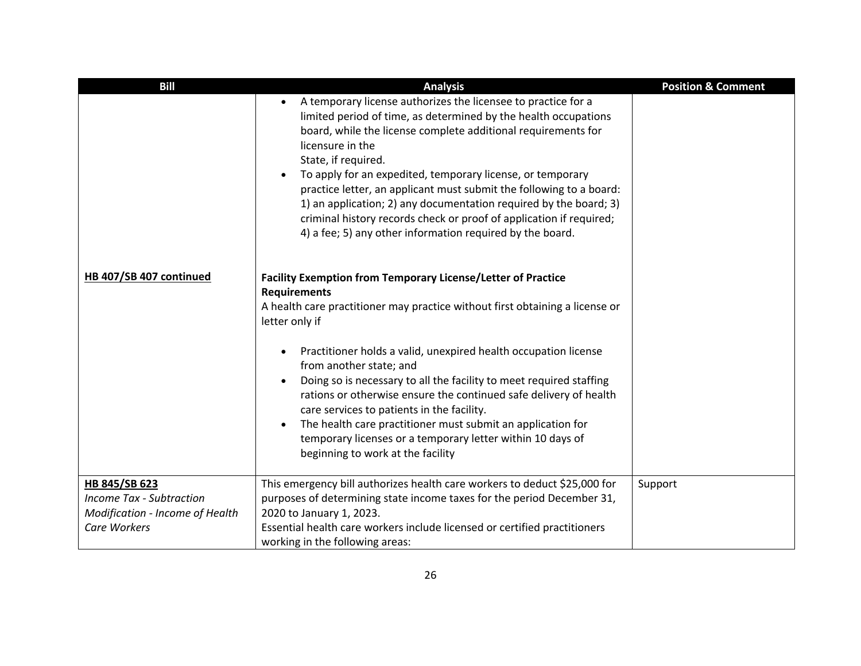| <b>Bill</b>                                                                                         | <b>Analysis</b>                                                                                                                                                                                                                                                                                                                                                                                                                                                                                                                                                                                                                                          | <b>Position &amp; Comment</b> |
|-----------------------------------------------------------------------------------------------------|----------------------------------------------------------------------------------------------------------------------------------------------------------------------------------------------------------------------------------------------------------------------------------------------------------------------------------------------------------------------------------------------------------------------------------------------------------------------------------------------------------------------------------------------------------------------------------------------------------------------------------------------------------|-------------------------------|
|                                                                                                     | A temporary license authorizes the licensee to practice for a<br>$\bullet$<br>limited period of time, as determined by the health occupations<br>board, while the license complete additional requirements for<br>licensure in the<br>State, if required.<br>To apply for an expedited, temporary license, or temporary<br>practice letter, an applicant must submit the following to a board:<br>1) an application; 2) any documentation required by the board; 3)<br>criminal history records check or proof of application if required;<br>4) a fee; 5) any other information required by the board.                                                  |                               |
| HB 407/SB 407 continued                                                                             | <b>Facility Exemption from Temporary License/Letter of Practice</b><br><b>Requirements</b><br>A health care practitioner may practice without first obtaining a license or<br>letter only if<br>Practitioner holds a valid, unexpired health occupation license<br>$\bullet$<br>from another state; and<br>Doing so is necessary to all the facility to meet required staffing<br>$\bullet$<br>rations or otherwise ensure the continued safe delivery of health<br>care services to patients in the facility.<br>The health care practitioner must submit an application for<br>$\bullet$<br>temporary licenses or a temporary letter within 10 days of |                               |
|                                                                                                     | beginning to work at the facility                                                                                                                                                                                                                                                                                                                                                                                                                                                                                                                                                                                                                        |                               |
| HB 845/SB 623<br><b>Income Tax - Subtraction</b><br>Modification - Income of Health<br>Care Workers | This emergency bill authorizes health care workers to deduct \$25,000 for<br>purposes of determining state income taxes for the period December 31,<br>2020 to January 1, 2023.<br>Essential health care workers include licensed or certified practitioners<br>working in the following areas:                                                                                                                                                                                                                                                                                                                                                          | Support                       |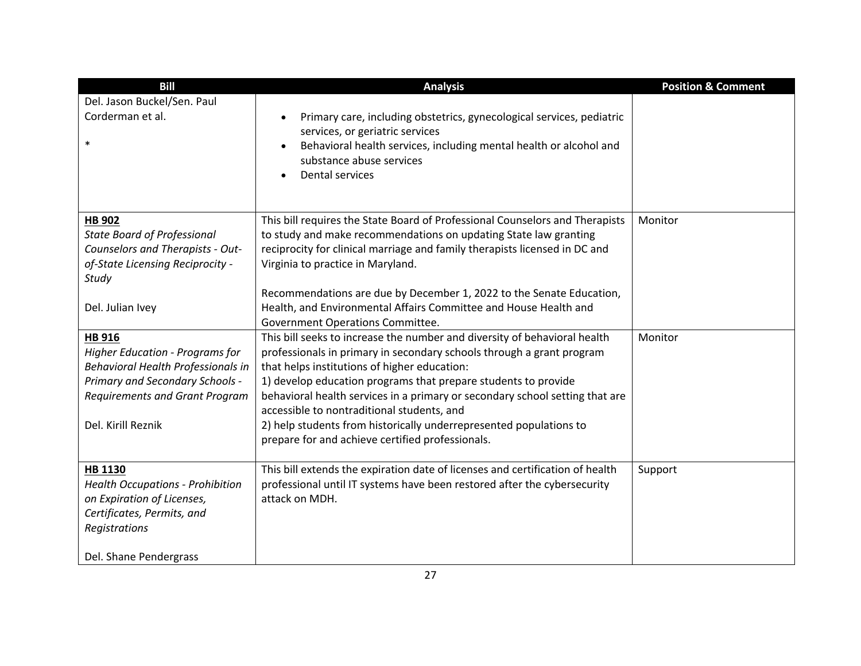| <b>Bill</b>                             | <b>Analysis</b>                                                                    | <b>Position &amp; Comment</b> |
|-----------------------------------------|------------------------------------------------------------------------------------|-------------------------------|
| Del. Jason Buckel/Sen. Paul             |                                                                                    |                               |
| Corderman et al.                        | Primary care, including obstetrics, gynecological services, pediatric<br>$\bullet$ |                               |
|                                         | services, or geriatric services                                                    |                               |
| $\ast$                                  | Behavioral health services, including mental health or alcohol and                 |                               |
|                                         | substance abuse services                                                           |                               |
|                                         | Dental services<br>$\bullet$                                                       |                               |
|                                         |                                                                                    |                               |
| <b>HB 902</b>                           | This bill requires the State Board of Professional Counselors and Therapists       | Monitor                       |
| <b>State Board of Professional</b>      | to study and make recommendations on updating State law granting                   |                               |
| Counselors and Therapists - Out-        | reciprocity for clinical marriage and family therapists licensed in DC and         |                               |
| of-State Licensing Reciprocity -        | Virginia to practice in Maryland.                                                  |                               |
| Study                                   |                                                                                    |                               |
|                                         | Recommendations are due by December 1, 2022 to the Senate Education,               |                               |
| Del. Julian Ivey                        | Health, and Environmental Affairs Committee and House Health and                   |                               |
|                                         | Government Operations Committee.                                                   |                               |
| <b>HB 916</b>                           | This bill seeks to increase the number and diversity of behavioral health          | Monitor                       |
| <b>Higher Education - Programs for</b>  | professionals in primary in secondary schools through a grant program              |                               |
| Behavioral Health Professionals in      | that helps institutions of higher education:                                       |                               |
| Primary and Secondary Schools -         | 1) develop education programs that prepare students to provide                     |                               |
| <b>Requirements and Grant Program</b>   | behavioral health services in a primary or secondary school setting that are       |                               |
|                                         | accessible to nontraditional students, and                                         |                               |
| Del. Kirill Reznik                      | 2) help students from historically underrepresented populations to                 |                               |
|                                         | prepare for and achieve certified professionals.                                   |                               |
| HB 1130                                 | This bill extends the expiration date of licenses and certification of health      | Support                       |
| <b>Health Occupations - Prohibition</b> | professional until IT systems have been restored after the cybersecurity           |                               |
| on Expiration of Licenses,              | attack on MDH.                                                                     |                               |
| Certificates, Permits, and              |                                                                                    |                               |
| Registrations                           |                                                                                    |                               |
|                                         |                                                                                    |                               |
| Del. Shane Pendergrass                  |                                                                                    |                               |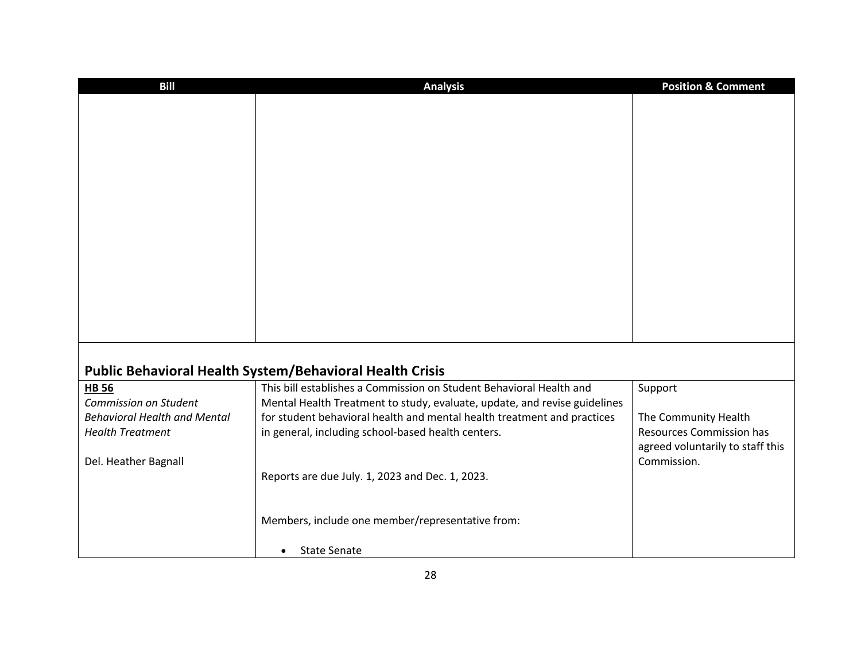| <b>Bill</b>                                                    | <b>Analysis</b>                                                           | <b>Position &amp; Comment</b>                           |
|----------------------------------------------------------------|---------------------------------------------------------------------------|---------------------------------------------------------|
|                                                                |                                                                           |                                                         |
|                                                                |                                                                           |                                                         |
|                                                                |                                                                           |                                                         |
|                                                                |                                                                           |                                                         |
|                                                                |                                                                           |                                                         |
|                                                                |                                                                           |                                                         |
|                                                                |                                                                           |                                                         |
|                                                                |                                                                           |                                                         |
|                                                                |                                                                           |                                                         |
|                                                                |                                                                           |                                                         |
|                                                                |                                                                           |                                                         |
|                                                                |                                                                           |                                                         |
|                                                                |                                                                           |                                                         |
|                                                                |                                                                           |                                                         |
|                                                                |                                                                           |                                                         |
|                                                                | Public Behavioral Health System/Behavioral Health Crisis                  |                                                         |
| <b>HB 56</b>                                                   | This bill establishes a Commission on Student Behavioral Health and       | Support                                                 |
| Commission on Student                                          | Mental Health Treatment to study, evaluate, update, and revise guidelines |                                                         |
| <b>Behavioral Health and Mental</b><br><b>Health Treatment</b> | for student behavioral health and mental health treatment and practices   | The Community Health<br><b>Resources Commission has</b> |
|                                                                | in general, including school-based health centers.                        | agreed voluntarily to staff this                        |
| Del. Heather Bagnall                                           |                                                                           | Commission.                                             |
|                                                                | Reports are due July. 1, 2023 and Dec. 1, 2023.                           |                                                         |
|                                                                |                                                                           |                                                         |
|                                                                |                                                                           |                                                         |
|                                                                | Members, include one member/representative from:                          |                                                         |
|                                                                | <b>State Senate</b><br>$\bullet$                                          |                                                         |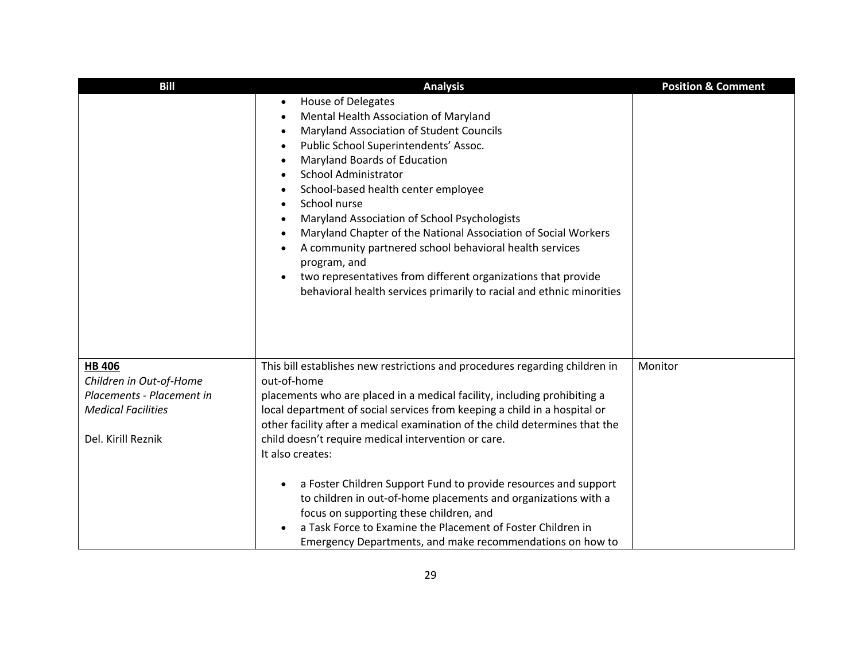| <b>Bill</b>                                                                                                              | <b>Analysis</b>                                                                                                                                                                                                                                                                                                                                                                                                                                                                                                                                                                                                                                                                                                                                                          | <b>Position &amp; Comment</b> |
|--------------------------------------------------------------------------------------------------------------------------|--------------------------------------------------------------------------------------------------------------------------------------------------------------------------------------------------------------------------------------------------------------------------------------------------------------------------------------------------------------------------------------------------------------------------------------------------------------------------------------------------------------------------------------------------------------------------------------------------------------------------------------------------------------------------------------------------------------------------------------------------------------------------|-------------------------------|
|                                                                                                                          | House of Delegates<br>$\bullet$<br>Mental Health Association of Maryland<br>$\bullet$<br>Maryland Association of Student Councils<br>$\bullet$<br>Public School Superintendents' Assoc.<br>$\bullet$<br>Maryland Boards of Education<br>$\bullet$<br><b>School Administrator</b><br>$\bullet$<br>School-based health center employee<br>$\bullet$<br>School nurse<br>$\bullet$<br>Maryland Association of School Psychologists<br>$\bullet$<br>Maryland Chapter of the National Association of Social Workers<br>$\bullet$<br>A community partnered school behavioral health services<br>$\bullet$<br>program, and<br>two representatives from different organizations that provide<br>$\bullet$<br>behavioral health services primarily to racial and ethnic minorities |                               |
| <b>HB 406</b><br>Children in Out-of-Home<br>Placements - Placement in<br><b>Medical Facilities</b><br>Del. Kirill Reznik | This bill establishes new restrictions and procedures regarding children in<br>out-of-home<br>placements who are placed in a medical facility, including prohibiting a<br>local department of social services from keeping a child in a hospital or<br>other facility after a medical examination of the child determines that the<br>child doesn't require medical intervention or care.<br>It also creates:<br>a Foster Children Support Fund to provide resources and support<br>$\bullet$<br>to children in out-of-home placements and organizations with a<br>focus on supporting these children, and<br>a Task Force to Examine the Placement of Foster Children in<br>Emergency Departments, and make recommendations on how to                                   | Monitor                       |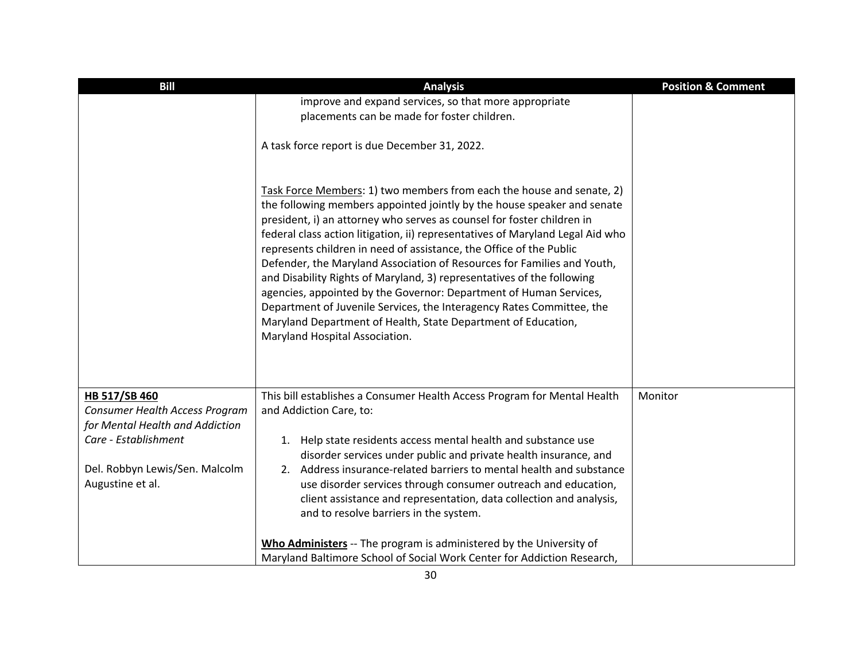| <b>Bill</b>                                        | <b>Analysis</b>                                                                                                                                                                                                                                                                                                                                                                                                                                                                                                                                                                                                                                                                                                                                                                            | <b>Position &amp; Comment</b> |
|----------------------------------------------------|--------------------------------------------------------------------------------------------------------------------------------------------------------------------------------------------------------------------------------------------------------------------------------------------------------------------------------------------------------------------------------------------------------------------------------------------------------------------------------------------------------------------------------------------------------------------------------------------------------------------------------------------------------------------------------------------------------------------------------------------------------------------------------------------|-------------------------------|
|                                                    | improve and expand services, so that more appropriate                                                                                                                                                                                                                                                                                                                                                                                                                                                                                                                                                                                                                                                                                                                                      |                               |
|                                                    | placements can be made for foster children.                                                                                                                                                                                                                                                                                                                                                                                                                                                                                                                                                                                                                                                                                                                                                |                               |
|                                                    | A task force report is due December 31, 2022.                                                                                                                                                                                                                                                                                                                                                                                                                                                                                                                                                                                                                                                                                                                                              |                               |
|                                                    | Task Force Members: 1) two members from each the house and senate, 2)<br>the following members appointed jointly by the house speaker and senate<br>president, i) an attorney who serves as counsel for foster children in<br>federal class action litigation, ii) representatives of Maryland Legal Aid who<br>represents children in need of assistance, the Office of the Public<br>Defender, the Maryland Association of Resources for Families and Youth,<br>and Disability Rights of Maryland, 3) representatives of the following<br>agencies, appointed by the Governor: Department of Human Services,<br>Department of Juvenile Services, the Interagency Rates Committee, the<br>Maryland Department of Health, State Department of Education,<br>Maryland Hospital Association. |                               |
| HB 517/SB 460<br>Consumer Health Access Program    | This bill establishes a Consumer Health Access Program for Mental Health<br>and Addiction Care, to:                                                                                                                                                                                                                                                                                                                                                                                                                                                                                                                                                                                                                                                                                        | Monitor                       |
| for Mental Health and Addiction                    |                                                                                                                                                                                                                                                                                                                                                                                                                                                                                                                                                                                                                                                                                                                                                                                            |                               |
| Care - Establishment                               | 1. Help state residents access mental health and substance use<br>disorder services under public and private health insurance, and                                                                                                                                                                                                                                                                                                                                                                                                                                                                                                                                                                                                                                                         |                               |
| Del. Robbyn Lewis/Sen. Malcolm<br>Augustine et al. | 2. Address insurance-related barriers to mental health and substance<br>use disorder services through consumer outreach and education,<br>client assistance and representation, data collection and analysis,<br>and to resolve barriers in the system.                                                                                                                                                                                                                                                                                                                                                                                                                                                                                                                                    |                               |
|                                                    | Who Administers -- The program is administered by the University of<br>Maryland Baltimore School of Social Work Center for Addiction Research,                                                                                                                                                                                                                                                                                                                                                                                                                                                                                                                                                                                                                                             |                               |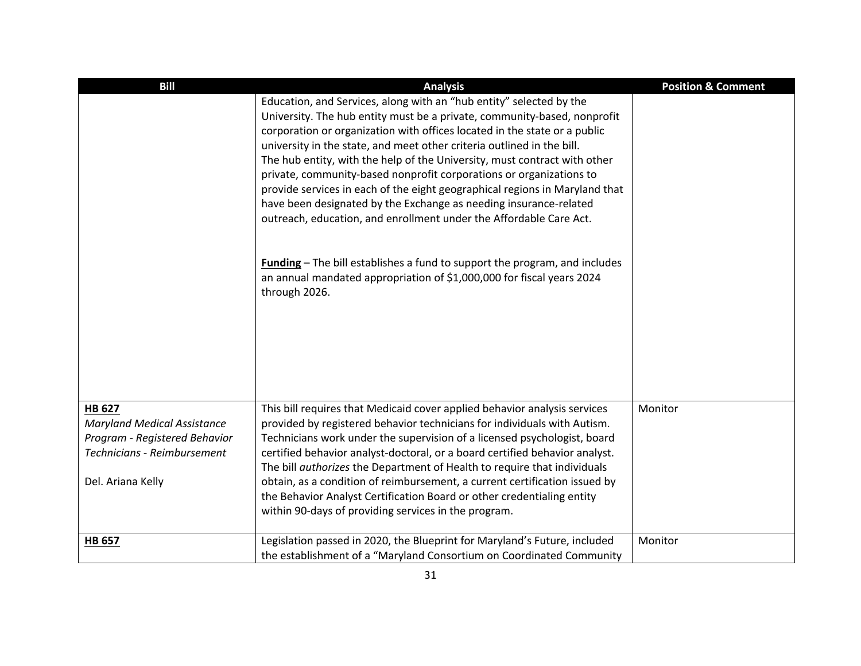| <b>Bill</b>                                                                                                                              | <b>Analysis</b>                                                                                                                                                                                                                                                                                                                                                                                                                                                                                                                                                                                                                                                                      | <b>Position &amp; Comment</b> |
|------------------------------------------------------------------------------------------------------------------------------------------|--------------------------------------------------------------------------------------------------------------------------------------------------------------------------------------------------------------------------------------------------------------------------------------------------------------------------------------------------------------------------------------------------------------------------------------------------------------------------------------------------------------------------------------------------------------------------------------------------------------------------------------------------------------------------------------|-------------------------------|
|                                                                                                                                          | Education, and Services, along with an "hub entity" selected by the<br>University. The hub entity must be a private, community-based, nonprofit<br>corporation or organization with offices located in the state or a public<br>university in the state, and meet other criteria outlined in the bill.<br>The hub entity, with the help of the University, must contract with other<br>private, community-based nonprofit corporations or organizations to<br>provide services in each of the eight geographical regions in Maryland that<br>have been designated by the Exchange as needing insurance-related<br>outreach, education, and enrollment under the Affordable Care Act. |                               |
|                                                                                                                                          | <b>Funding</b> - The bill establishes a fund to support the program, and includes<br>an annual mandated appropriation of \$1,000,000 for fiscal years 2024<br>through 2026.                                                                                                                                                                                                                                                                                                                                                                                                                                                                                                          |                               |
| <b>HB 627</b><br><b>Maryland Medical Assistance</b><br>Program - Registered Behavior<br>Technicians - Reimbursement<br>Del. Ariana Kelly | This bill requires that Medicaid cover applied behavior analysis services<br>provided by registered behavior technicians for individuals with Autism.<br>Technicians work under the supervision of a licensed psychologist, board<br>certified behavior analyst-doctoral, or a board certified behavior analyst.<br>The bill authorizes the Department of Health to require that individuals<br>obtain, as a condition of reimbursement, a current certification issued by<br>the Behavior Analyst Certification Board or other credentialing entity<br>within 90-days of providing services in the program.                                                                         | Monitor                       |
| <b>HB 657</b>                                                                                                                            | Legislation passed in 2020, the Blueprint for Maryland's Future, included<br>the establishment of a "Maryland Consortium on Coordinated Community                                                                                                                                                                                                                                                                                                                                                                                                                                                                                                                                    | Monitor                       |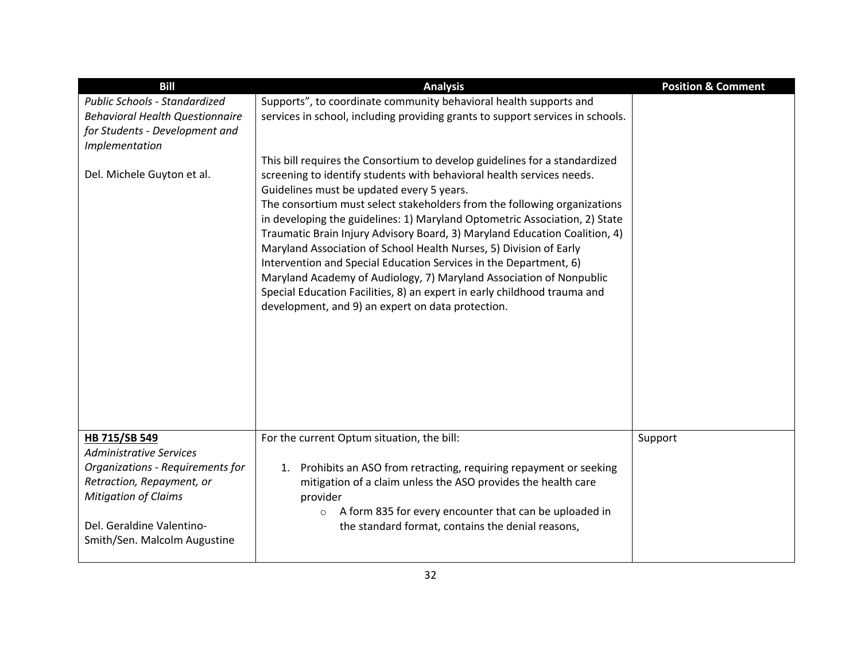| <b>Bill</b>                                                                                                                                                                                                  | <b>Analysis</b>                                                                                                                                                                                                                                                                                                                                                                                                                                                                                                                                                                                                                                                                                                                                                                             | <b>Position &amp; Comment</b> |
|--------------------------------------------------------------------------------------------------------------------------------------------------------------------------------------------------------------|---------------------------------------------------------------------------------------------------------------------------------------------------------------------------------------------------------------------------------------------------------------------------------------------------------------------------------------------------------------------------------------------------------------------------------------------------------------------------------------------------------------------------------------------------------------------------------------------------------------------------------------------------------------------------------------------------------------------------------------------------------------------------------------------|-------------------------------|
| Public Schools - Standardized<br><b>Behavioral Health Questionnaire</b><br>for Students - Development and<br>Implementation                                                                                  | Supports", to coordinate community behavioral health supports and<br>services in school, including providing grants to support services in schools.                                                                                                                                                                                                                                                                                                                                                                                                                                                                                                                                                                                                                                         |                               |
| Del. Michele Guyton et al.                                                                                                                                                                                   | This bill requires the Consortium to develop guidelines for a standardized<br>screening to identify students with behavioral health services needs.<br>Guidelines must be updated every 5 years.<br>The consortium must select stakeholders from the following organizations<br>in developing the guidelines: 1) Maryland Optometric Association, 2) State<br>Traumatic Brain Injury Advisory Board, 3) Maryland Education Coalition, 4)<br>Maryland Association of School Health Nurses, 5) Division of Early<br>Intervention and Special Education Services in the Department, 6)<br>Maryland Academy of Audiology, 7) Maryland Association of Nonpublic<br>Special Education Facilities, 8) an expert in early childhood trauma and<br>development, and 9) an expert on data protection. |                               |
| HB 715/SB 549<br><b>Administrative Services</b><br>Organizations - Requirements for<br>Retraction, Repayment, or<br><b>Mitigation of Claims</b><br>Del. Geraldine Valentino-<br>Smith/Sen. Malcolm Augustine | For the current Optum situation, the bill:<br>Prohibits an ASO from retracting, requiring repayment or seeking<br>1.<br>mitigation of a claim unless the ASO provides the health care<br>provider<br>A form 835 for every encounter that can be uploaded in<br>$\circ$<br>the standard format, contains the denial reasons,                                                                                                                                                                                                                                                                                                                                                                                                                                                                 | Support                       |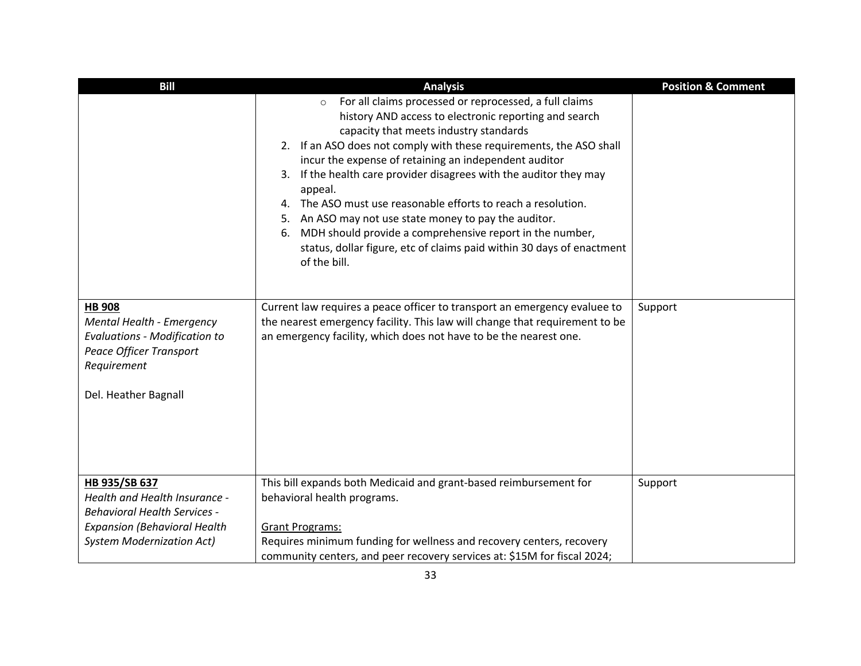| <b>Bill</b>                                                                                                                                                      | <b>Analysis</b>                                                                                                                                                                                                                                                                                                                                                                                                                                                                                                                                                                                                                                                                  | <b>Position &amp; Comment</b> |
|------------------------------------------------------------------------------------------------------------------------------------------------------------------|----------------------------------------------------------------------------------------------------------------------------------------------------------------------------------------------------------------------------------------------------------------------------------------------------------------------------------------------------------------------------------------------------------------------------------------------------------------------------------------------------------------------------------------------------------------------------------------------------------------------------------------------------------------------------------|-------------------------------|
|                                                                                                                                                                  | For all claims processed or reprocessed, a full claims<br>$\circ$<br>history AND access to electronic reporting and search<br>capacity that meets industry standards<br>2. If an ASO does not comply with these requirements, the ASO shall<br>incur the expense of retaining an independent auditor<br>If the health care provider disagrees with the auditor they may<br>3.<br>appeal.<br>The ASO must use reasonable efforts to reach a resolution.<br>4.<br>5. An ASO may not use state money to pay the auditor.<br>MDH should provide a comprehensive report in the number,<br>6.<br>status, dollar figure, etc of claims paid within 30 days of enactment<br>of the bill. |                               |
| <b>HB 908</b><br>Mental Health - Emergency<br><b>Evaluations - Modification to</b><br>Peace Officer Transport<br>Requirement<br>Del. Heather Bagnall             | Current law requires a peace officer to transport an emergency evaluee to<br>the nearest emergency facility. This law will change that requirement to be<br>an emergency facility, which does not have to be the nearest one.                                                                                                                                                                                                                                                                                                                                                                                                                                                    | Support                       |
| HB 935/SB 637<br>Health and Health Insurance -<br><b>Behavioral Health Services -</b><br><b>Expansion (Behavioral Health</b><br><b>System Modernization Act)</b> | This bill expands both Medicaid and grant-based reimbursement for<br>behavioral health programs.<br><b>Grant Programs:</b><br>Requires minimum funding for wellness and recovery centers, recovery<br>community centers, and peer recovery services at: \$15M for fiscal 2024;                                                                                                                                                                                                                                                                                                                                                                                                   | Support                       |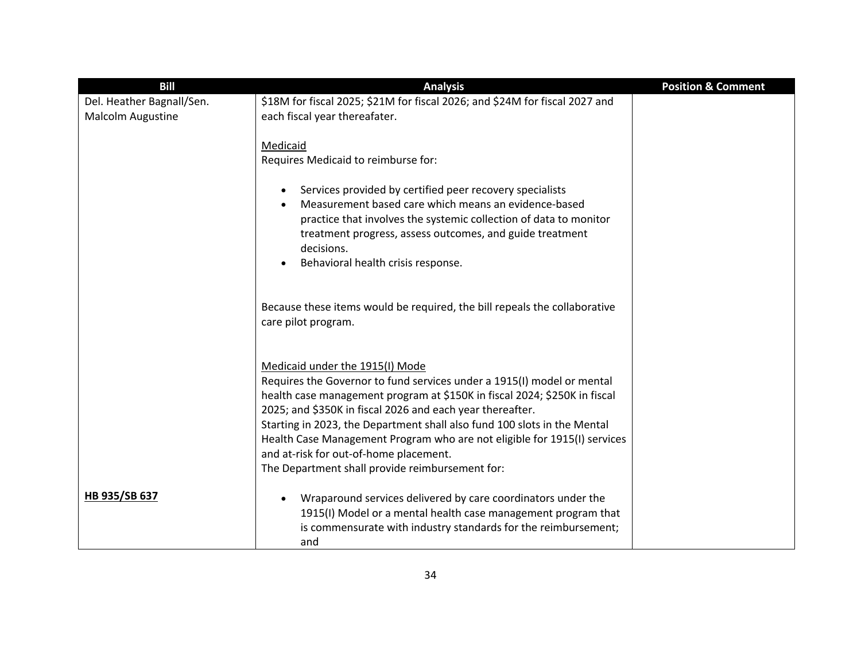| <b>Bill</b>               | <b>Analysis</b>                                                                                                                                                                                                                                                                                                                                                                                                                                                                                          | <b>Position &amp; Comment</b> |
|---------------------------|----------------------------------------------------------------------------------------------------------------------------------------------------------------------------------------------------------------------------------------------------------------------------------------------------------------------------------------------------------------------------------------------------------------------------------------------------------------------------------------------------------|-------------------------------|
| Del. Heather Bagnall/Sen. | \$18M for fiscal 2025; \$21M for fiscal 2026; and \$24M for fiscal 2027 and                                                                                                                                                                                                                                                                                                                                                                                                                              |                               |
| Malcolm Augustine         | each fiscal year thereafater.                                                                                                                                                                                                                                                                                                                                                                                                                                                                            |                               |
|                           | Medicaid<br>Requires Medicaid to reimburse for:<br>Services provided by certified peer recovery specialists<br>$\bullet$<br>Measurement based care which means an evidence-based<br>$\bullet$<br>practice that involves the systemic collection of data to monitor<br>treatment progress, assess outcomes, and guide treatment<br>decisions.<br>Behavioral health crisis response.                                                                                                                       |                               |
|                           | Because these items would be required, the bill repeals the collaborative<br>care pilot program.                                                                                                                                                                                                                                                                                                                                                                                                         |                               |
|                           | Medicaid under the 1915(I) Mode<br>Requires the Governor to fund services under a 1915(I) model or mental<br>health case management program at \$150K in fiscal 2024; \$250K in fiscal<br>2025; and \$350K in fiscal 2026 and each year thereafter.<br>Starting in 2023, the Department shall also fund 100 slots in the Mental<br>Health Case Management Program who are not eligible for 1915(I) services<br>and at-risk for out-of-home placement.<br>The Department shall provide reimbursement for: |                               |
| HB 935/SB 637             | Wraparound services delivered by care coordinators under the<br>1915(I) Model or a mental health case management program that<br>is commensurate with industry standards for the reimbursement;<br>and                                                                                                                                                                                                                                                                                                   |                               |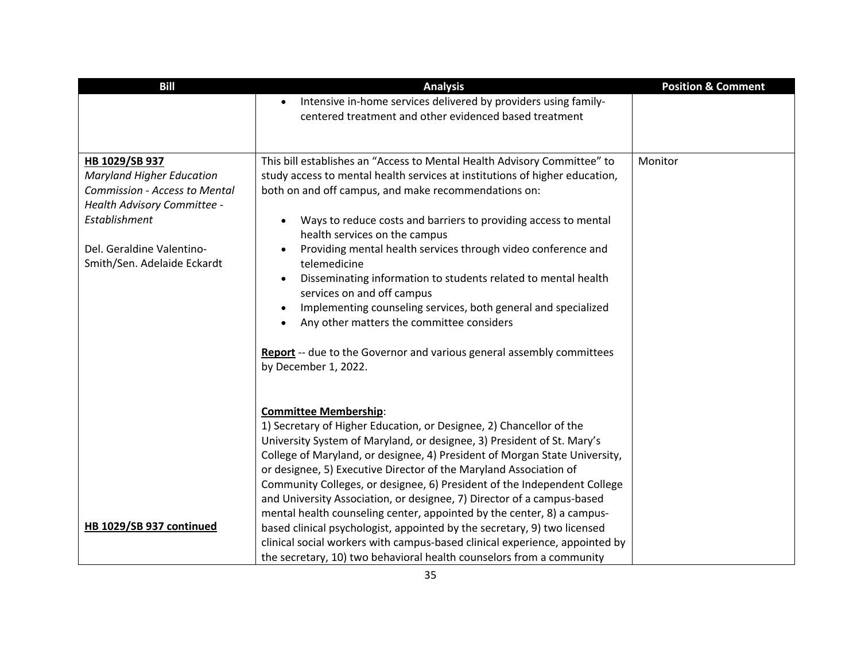| <b>Bill</b>                                              | <b>Analysis</b>                                                                                                                                         | <b>Position &amp; Comment</b> |
|----------------------------------------------------------|---------------------------------------------------------------------------------------------------------------------------------------------------------|-------------------------------|
|                                                          | Intensive in-home services delivered by providers using family-<br>$\bullet$                                                                            |                               |
|                                                          | centered treatment and other evidenced based treatment                                                                                                  |                               |
|                                                          |                                                                                                                                                         |                               |
|                                                          |                                                                                                                                                         |                               |
| HB 1029/SB 937<br><b>Maryland Higher Education</b>       | This bill establishes an "Access to Mental Health Advisory Committee" to<br>study access to mental health services at institutions of higher education, | Monitor                       |
| <b>Commission - Access to Mental</b>                     | both on and off campus, and make recommendations on:                                                                                                    |                               |
| Health Advisory Committee -                              |                                                                                                                                                         |                               |
| Establishment                                            | Ways to reduce costs and barriers to providing access to mental<br>$\bullet$                                                                            |                               |
|                                                          | health services on the campus                                                                                                                           |                               |
| Del. Geraldine Valentino-<br>Smith/Sen. Adelaide Eckardt | Providing mental health services through video conference and<br>$\bullet$<br>telemedicine                                                              |                               |
|                                                          | Disseminating information to students related to mental health<br>$\bullet$<br>services on and off campus                                               |                               |
|                                                          | Implementing counseling services, both general and specialized<br>$\bullet$                                                                             |                               |
|                                                          | Any other matters the committee considers<br>$\bullet$                                                                                                  |                               |
|                                                          |                                                                                                                                                         |                               |
|                                                          | Report -- due to the Governor and various general assembly committees                                                                                   |                               |
|                                                          | by December 1, 2022.                                                                                                                                    |                               |
|                                                          |                                                                                                                                                         |                               |
|                                                          | <b>Committee Membership:</b>                                                                                                                            |                               |
|                                                          | 1) Secretary of Higher Education, or Designee, 2) Chancellor of the                                                                                     |                               |
|                                                          | University System of Maryland, or designee, 3) President of St. Mary's                                                                                  |                               |
|                                                          | College of Maryland, or designee, 4) President of Morgan State University,                                                                              |                               |
|                                                          | or designee, 5) Executive Director of the Maryland Association of                                                                                       |                               |
|                                                          | Community Colleges, or designee, 6) President of the Independent College                                                                                |                               |
|                                                          | and University Association, or designee, 7) Director of a campus-based                                                                                  |                               |
| HB 1029/SB 937 continued                                 | mental health counseling center, appointed by the center, 8) a campus-                                                                                  |                               |
|                                                          | based clinical psychologist, appointed by the secretary, 9) two licensed<br>clinical social workers with campus-based clinical experience, appointed by |                               |
|                                                          | the secretary, 10) two behavioral health counselors from a community                                                                                    |                               |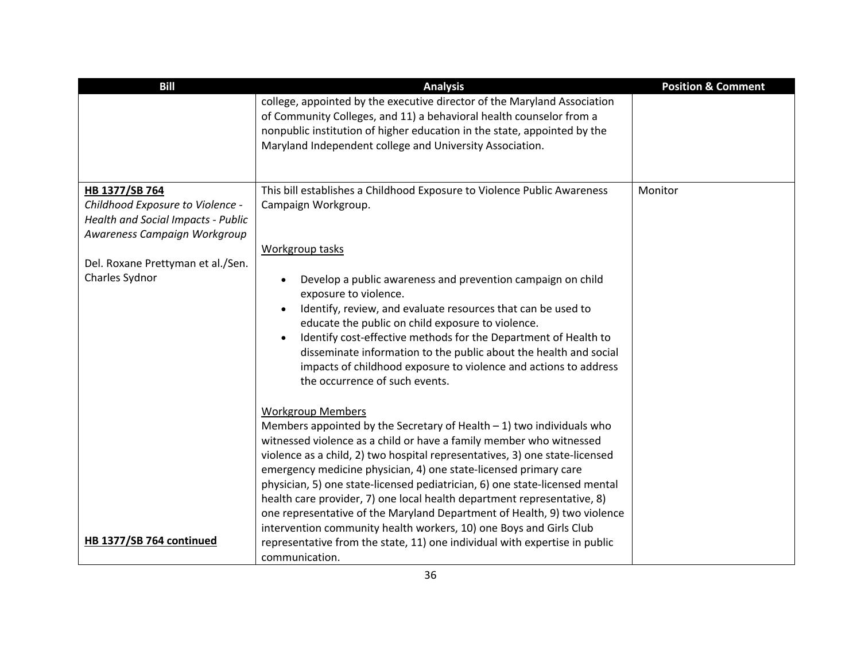| <b>Bill</b>                                                                                            | <b>Analysis</b>                                                                                                                                                                                                                                                                                                                                                                                                                                                                                                                                                     | <b>Position &amp; Comment</b> |
|--------------------------------------------------------------------------------------------------------|---------------------------------------------------------------------------------------------------------------------------------------------------------------------------------------------------------------------------------------------------------------------------------------------------------------------------------------------------------------------------------------------------------------------------------------------------------------------------------------------------------------------------------------------------------------------|-------------------------------|
|                                                                                                        | college, appointed by the executive director of the Maryland Association<br>of Community Colleges, and 11) a behavioral health counselor from a<br>nonpublic institution of higher education in the state, appointed by the<br>Maryland Independent college and University Association.                                                                                                                                                                                                                                                                             |                               |
| HB 1377/SB 764                                                                                         | This bill establishes a Childhood Exposure to Violence Public Awareness                                                                                                                                                                                                                                                                                                                                                                                                                                                                                             | Monitor                       |
| Childhood Exposure to Violence -<br>Health and Social Impacts - Public<br>Awareness Campaign Workgroup | Campaign Workgroup.                                                                                                                                                                                                                                                                                                                                                                                                                                                                                                                                                 |                               |
|                                                                                                        | Workgroup tasks                                                                                                                                                                                                                                                                                                                                                                                                                                                                                                                                                     |                               |
| Del. Roxane Prettyman et al./Sen.                                                                      |                                                                                                                                                                                                                                                                                                                                                                                                                                                                                                                                                                     |                               |
| Charles Sydnor                                                                                         | Develop a public awareness and prevention campaign on child<br>$\bullet$<br>exposure to violence.<br>Identify, review, and evaluate resources that can be used to<br>educate the public on child exposure to violence.<br>Identify cost-effective methods for the Department of Health to<br>disseminate information to the public about the health and social<br>impacts of childhood exposure to violence and actions to address<br>the occurrence of such events.                                                                                                |                               |
|                                                                                                        | <b>Workgroup Members</b><br>Members appointed by the Secretary of Health $-1$ ) two individuals who<br>witnessed violence as a child or have a family member who witnessed<br>violence as a child, 2) two hospital representatives, 3) one state-licensed<br>emergency medicine physician, 4) one state-licensed primary care<br>physician, 5) one state-licensed pediatrician, 6) one state-licensed mental<br>health care provider, 7) one local health department representative, 8)<br>one representative of the Maryland Department of Health, 9) two violence |                               |
|                                                                                                        | intervention community health workers, 10) one Boys and Girls Club                                                                                                                                                                                                                                                                                                                                                                                                                                                                                                  |                               |
| HB 1377/SB 764 continued                                                                               | representative from the state, 11) one individual with expertise in public                                                                                                                                                                                                                                                                                                                                                                                                                                                                                          |                               |
|                                                                                                        | communication.                                                                                                                                                                                                                                                                                                                                                                                                                                                                                                                                                      |                               |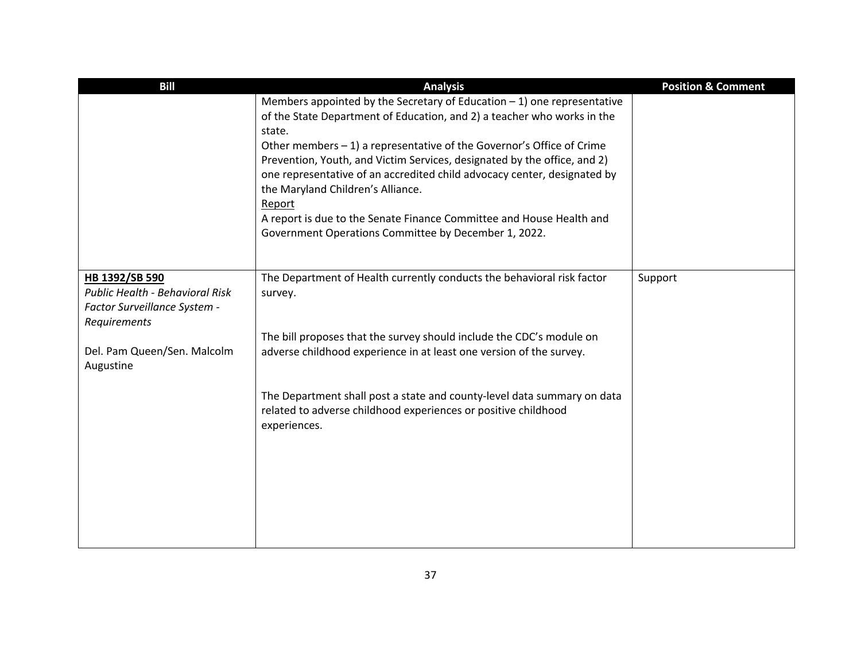| <b>Bill</b>                                                                                       | <b>Analysis</b>                                                                                                                                                                                                                                                      | <b>Position &amp; Comment</b> |
|---------------------------------------------------------------------------------------------------|----------------------------------------------------------------------------------------------------------------------------------------------------------------------------------------------------------------------------------------------------------------------|-------------------------------|
|                                                                                                   | Members appointed by the Secretary of Education $-1$ ) one representative<br>of the State Department of Education, and 2) a teacher who works in the<br>state.                                                                                                       |                               |
|                                                                                                   | Other members $-1$ ) a representative of the Governor's Office of Crime<br>Prevention, Youth, and Victim Services, designated by the office, and 2)<br>one representative of an accredited child advocacy center, designated by<br>the Maryland Children's Alliance. |                               |
|                                                                                                   | Report<br>A report is due to the Senate Finance Committee and House Health and<br>Government Operations Committee by December 1, 2022.                                                                                                                               |                               |
| HB 1392/SB 590<br>Public Health - Behavioral Risk<br>Factor Surveillance System -<br>Requirements | The Department of Health currently conducts the behavioral risk factor<br>survey.                                                                                                                                                                                    | Support                       |
| Del. Pam Queen/Sen. Malcolm<br>Augustine                                                          | The bill proposes that the survey should include the CDC's module on<br>adverse childhood experience in at least one version of the survey.                                                                                                                          |                               |
|                                                                                                   | The Department shall post a state and county-level data summary on data<br>related to adverse childhood experiences or positive childhood<br>experiences.                                                                                                            |                               |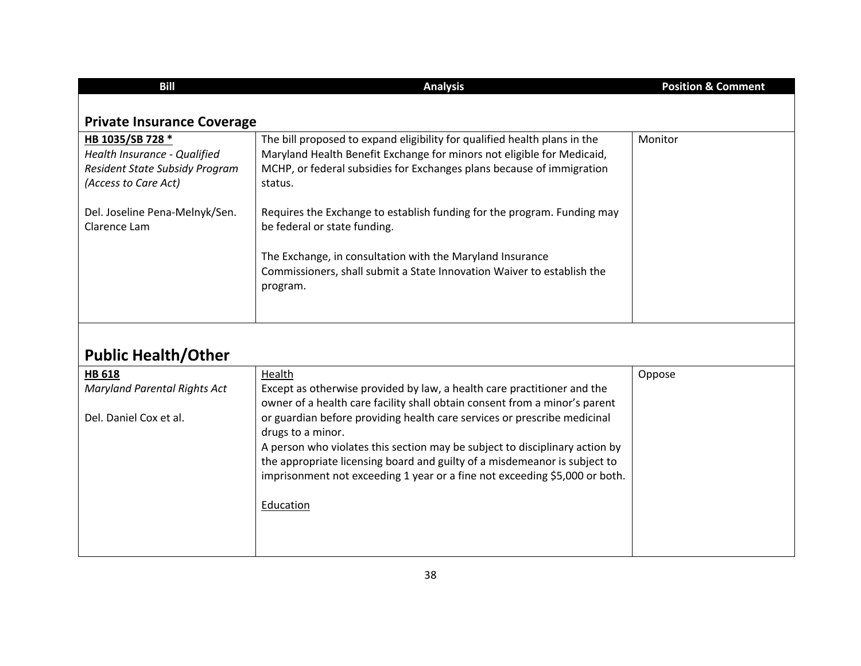| <b>Bill</b>                                                                                                | <b>Analysis</b>                                                                                                                                                                                                                         | <b>Position &amp; Comment</b> |
|------------------------------------------------------------------------------------------------------------|-----------------------------------------------------------------------------------------------------------------------------------------------------------------------------------------------------------------------------------------|-------------------------------|
| <b>Private Insurance Coverage</b>                                                                          |                                                                                                                                                                                                                                         |                               |
| HB 1035/SB 728 *<br>Health Insurance - Qualified<br>Resident State Subsidy Program<br>(Access to Care Act) | The bill proposed to expand eligibility for qualified health plans in the<br>Maryland Health Benefit Exchange for minors not eligible for Medicaid,<br>MCHP, or federal subsidies for Exchanges plans because of immigration<br>status. | Monitor                       |
| Del. Joseline Pena-Melnyk/Sen.<br>Clarence Lam                                                             | Requires the Exchange to establish funding for the program. Funding may<br>be federal or state funding.                                                                                                                                 |                               |
|                                                                                                            | The Exchange, in consultation with the Maryland Insurance<br>Commissioners, shall submit a State Innovation Waiver to establish the<br>program.                                                                                         |                               |
|                                                                                                            |                                                                                                                                                                                                                                         |                               |

## **Public Health/Other**

| <b>HB 618</b>                       | Health                                                                      | Oppose |
|-------------------------------------|-----------------------------------------------------------------------------|--------|
| <b>Maryland Parental Rights Act</b> | Except as otherwise provided by law, a health care practitioner and the     |        |
|                                     | owner of a health care facility shall obtain consent from a minor's parent  |        |
| Del. Daniel Cox et al.              | or guardian before providing health care services or prescribe medicinal    |        |
|                                     | drugs to a minor.                                                           |        |
|                                     | A person who violates this section may be subject to disciplinary action by |        |
|                                     | the appropriate licensing board and guilty of a misdemeanor is subject to   |        |
|                                     | imprisonment not exceeding 1 year or a fine not exceeding \$5,000 or both.  |        |
|                                     |                                                                             |        |
|                                     | Education                                                                   |        |
|                                     |                                                                             |        |
|                                     |                                                                             |        |
|                                     |                                                                             |        |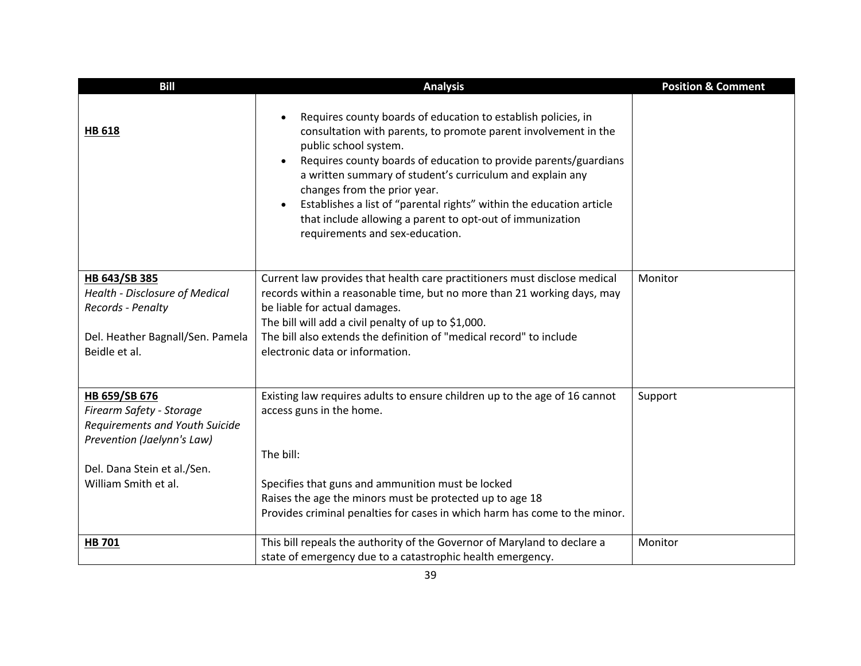| <b>Bill</b>                                                                                                                                                      | <b>Analysis</b>                                                                                                                                                                                                                                                                                                                                                                                                                                                                                                                           | <b>Position &amp; Comment</b> |
|------------------------------------------------------------------------------------------------------------------------------------------------------------------|-------------------------------------------------------------------------------------------------------------------------------------------------------------------------------------------------------------------------------------------------------------------------------------------------------------------------------------------------------------------------------------------------------------------------------------------------------------------------------------------------------------------------------------------|-------------------------------|
| <b>HB 618</b>                                                                                                                                                    | Requires county boards of education to establish policies, in<br>$\bullet$<br>consultation with parents, to promote parent involvement in the<br>public school system.<br>Requires county boards of education to provide parents/guardians<br>$\bullet$<br>a written summary of student's curriculum and explain any<br>changes from the prior year.<br>Establishes a list of "parental rights" within the education article<br>$\bullet$<br>that include allowing a parent to opt-out of immunization<br>requirements and sex-education. |                               |
| HB 643/SB 385<br><b>Health - Disclosure of Medical</b><br>Records - Penalty<br>Del. Heather Bagnall/Sen. Pamela<br>Beidle et al.                                 | Current law provides that health care practitioners must disclose medical<br>records within a reasonable time, but no more than 21 working days, may<br>be liable for actual damages.<br>The bill will add a civil penalty of up to \$1,000.<br>The bill also extends the definition of "medical record" to include<br>electronic data or information.                                                                                                                                                                                    | Monitor                       |
| HB 659/SB 676<br>Firearm Safety - Storage<br>Requirements and Youth Suicide<br>Prevention (Jaelynn's Law)<br>Del. Dana Stein et al./Sen.<br>William Smith et al. | Existing law requires adults to ensure children up to the age of 16 cannot<br>access guns in the home.<br>The bill:<br>Specifies that guns and ammunition must be locked<br>Raises the age the minors must be protected up to age 18<br>Provides criminal penalties for cases in which harm has come to the minor.                                                                                                                                                                                                                        | Support                       |
| HB 701                                                                                                                                                           | This bill repeals the authority of the Governor of Maryland to declare a<br>state of emergency due to a catastrophic health emergency.                                                                                                                                                                                                                                                                                                                                                                                                    | Monitor                       |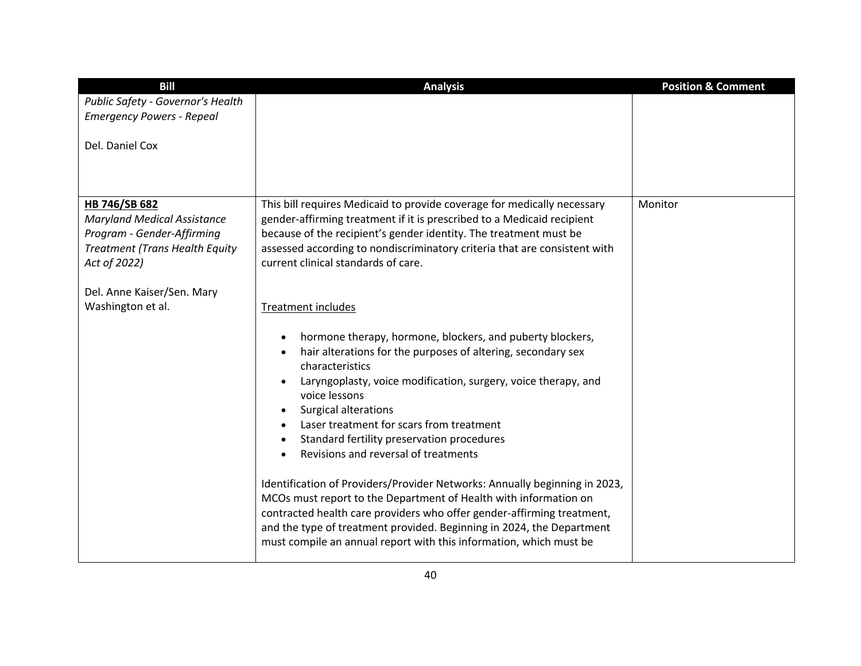| <b>Bill</b>                                                                                                                                | <b>Analysis</b>                                                                                                                                                                                                                                                                                                                                                                                                                               | <b>Position &amp; Comment</b> |
|--------------------------------------------------------------------------------------------------------------------------------------------|-----------------------------------------------------------------------------------------------------------------------------------------------------------------------------------------------------------------------------------------------------------------------------------------------------------------------------------------------------------------------------------------------------------------------------------------------|-------------------------------|
| Public Safety - Governor's Health                                                                                                          |                                                                                                                                                                                                                                                                                                                                                                                                                                               |                               |
| <b>Emergency Powers - Repeal</b>                                                                                                           |                                                                                                                                                                                                                                                                                                                                                                                                                                               |                               |
| Del. Daniel Cox                                                                                                                            |                                                                                                                                                                                                                                                                                                                                                                                                                                               |                               |
|                                                                                                                                            |                                                                                                                                                                                                                                                                                                                                                                                                                                               |                               |
| HB 746/SB 682<br><b>Maryland Medical Assistance</b><br>Program - Gender-Affirming<br><b>Treatment (Trans Health Equity</b><br>Act of 2022) | This bill requires Medicaid to provide coverage for medically necessary<br>gender-affirming treatment if it is prescribed to a Medicaid recipient<br>because of the recipient's gender identity. The treatment must be<br>assessed according to nondiscriminatory criteria that are consistent with<br>current clinical standards of care.                                                                                                    | Monitor                       |
| Del. Anne Kaiser/Sen. Mary<br>Washington et al.                                                                                            | <b>Treatment includes</b>                                                                                                                                                                                                                                                                                                                                                                                                                     |                               |
|                                                                                                                                            | hormone therapy, hormone, blockers, and puberty blockers,<br>$\bullet$<br>hair alterations for the purposes of altering, secondary sex<br>$\bullet$<br>characteristics<br>Laryngoplasty, voice modification, surgery, voice therapy, and<br>voice lessons<br>Surgical alterations<br>Laser treatment for scars from treatment<br>Standard fertility preservation procedures<br>$\bullet$<br>Revisions and reversal of treatments<br>$\bullet$ |                               |
|                                                                                                                                            | Identification of Providers/Provider Networks: Annually beginning in 2023,<br>MCOs must report to the Department of Health with information on<br>contracted health care providers who offer gender-affirming treatment,<br>and the type of treatment provided. Beginning in 2024, the Department<br>must compile an annual report with this information, which must be                                                                       |                               |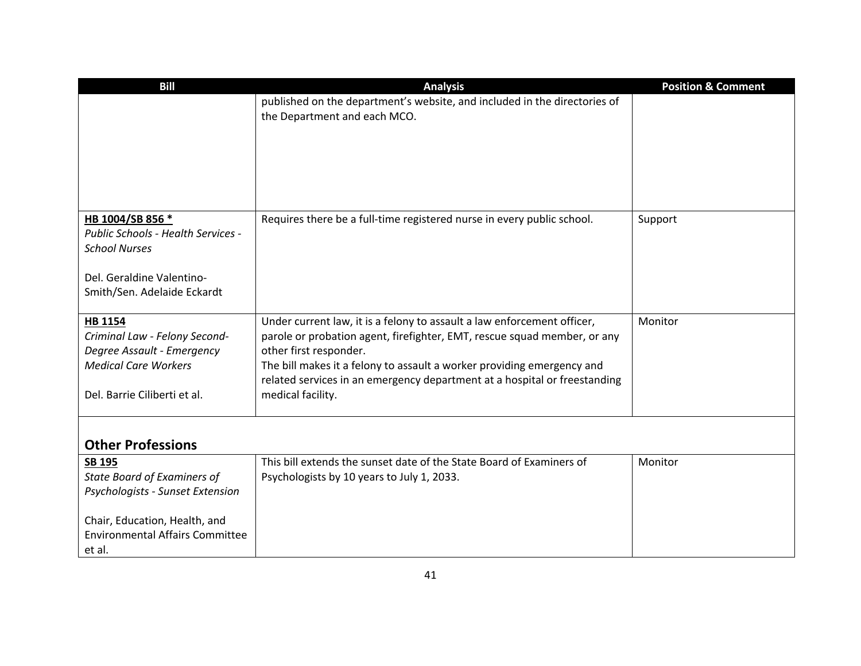| <b>Bill</b>                                                                                                                                  | <b>Analysis</b>                                                                                                                                                                                                                                                                                                                                           | <b>Position &amp; Comment</b> |
|----------------------------------------------------------------------------------------------------------------------------------------------|-----------------------------------------------------------------------------------------------------------------------------------------------------------------------------------------------------------------------------------------------------------------------------------------------------------------------------------------------------------|-------------------------------|
|                                                                                                                                              | published on the department's website, and included in the directories of<br>the Department and each MCO.                                                                                                                                                                                                                                                 |                               |
|                                                                                                                                              |                                                                                                                                                                                                                                                                                                                                                           |                               |
| HB 1004/SB 856 *<br>Public Schools - Health Services -<br><b>School Nurses</b>                                                               | Requires there be a full-time registered nurse in every public school.                                                                                                                                                                                                                                                                                    | Support                       |
| Del. Geraldine Valentino-<br>Smith/Sen. Adelaide Eckardt                                                                                     |                                                                                                                                                                                                                                                                                                                                                           |                               |
| <b>HB 1154</b><br>Criminal Law - Felony Second-<br>Degree Assault - Emergency<br><b>Medical Care Workers</b><br>Del. Barrie Ciliberti et al. | Under current law, it is a felony to assault a law enforcement officer,<br>parole or probation agent, firefighter, EMT, rescue squad member, or any<br>other first responder.<br>The bill makes it a felony to assault a worker providing emergency and<br>related services in an emergency department at a hospital or freestanding<br>medical facility. | Monitor                       |
| <b>Other Professions</b>                                                                                                                     |                                                                                                                                                                                                                                                                                                                                                           |                               |
| <b>SB 195</b><br><b>State Board of Examiners of</b><br>Psychologists - Sunset Extension                                                      | This bill extends the sunset date of the State Board of Examiners of<br>Psychologists by 10 years to July 1, 2033.                                                                                                                                                                                                                                        | Monitor                       |
| Chair, Education, Health, and<br><b>Environmental Affairs Committee</b><br>et al.                                                            |                                                                                                                                                                                                                                                                                                                                                           |                               |